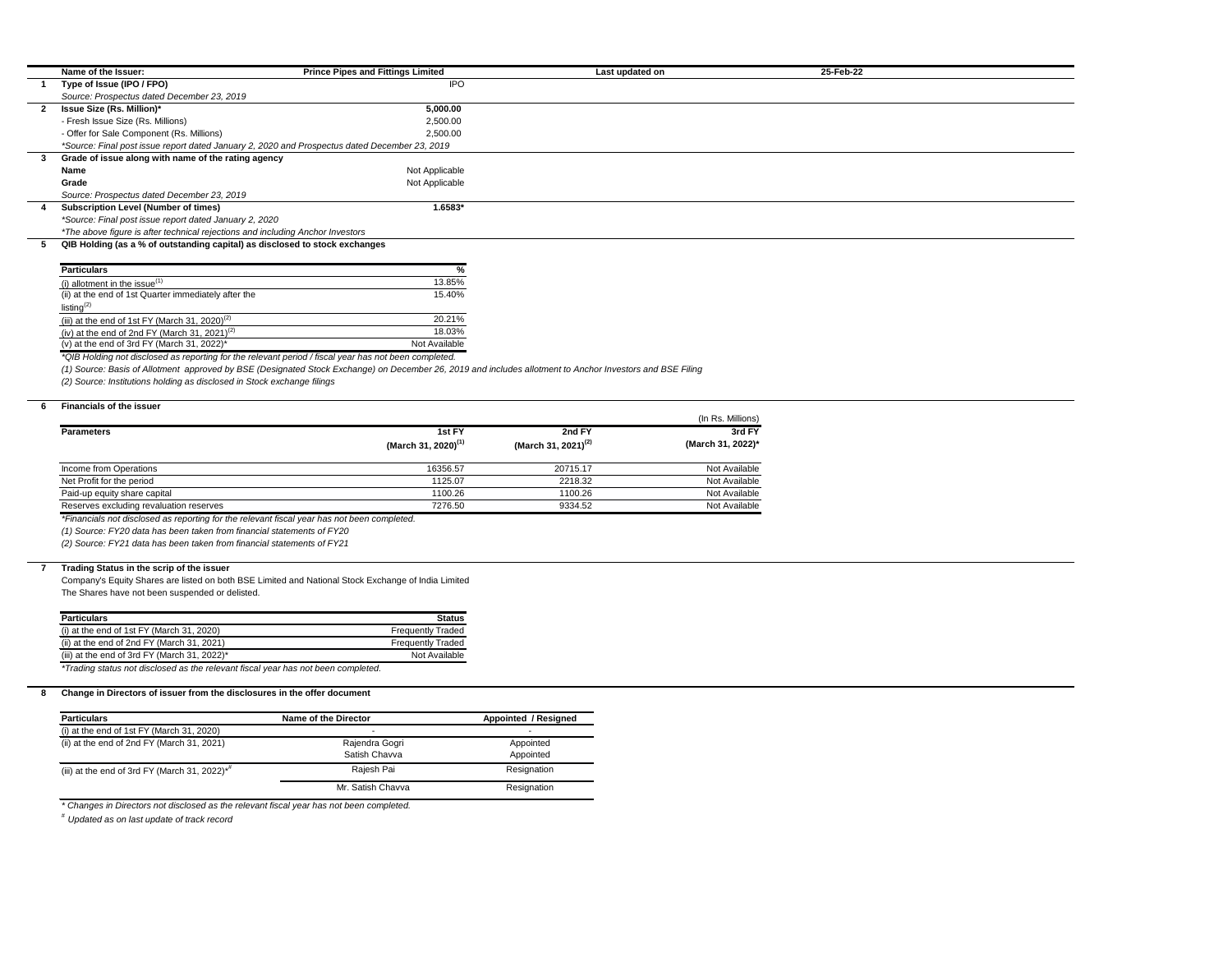| Name of the Issuer:                                                                           | <b>Prince Pipes and Fittings Limited</b> | Last updated on | 25-Feb-22 |  |
|-----------------------------------------------------------------------------------------------|------------------------------------------|-----------------|-----------|--|
| Type of Issue (IPO / FPO)                                                                     | <b>IPO</b>                               |                 |           |  |
| Source: Prospectus dated December 23, 2019                                                    |                                          |                 |           |  |
| <b>Issue Size (Rs. Million)*</b>                                                              | 5,000.00                                 |                 |           |  |
| - Fresh Issue Size (Rs. Millions)                                                             | 2,500.00                                 |                 |           |  |
| - Offer for Sale Component (Rs. Millions)                                                     | 2.500.00                                 |                 |           |  |
| *Source: Final post issue report dated January 2, 2020 and Prospectus dated December 23, 2019 |                                          |                 |           |  |
| Grade of issue along with name of the rating agency                                           |                                          |                 |           |  |
| Name                                                                                          | Not Applicable                           |                 |           |  |
| Grade                                                                                         | Not Applicable                           |                 |           |  |
| Source: Prospectus dated December 23, 2019                                                    |                                          |                 |           |  |
| <b>Subscription Level (Number of times)</b>                                                   | $1.6583*$                                |                 |           |  |
| *Source: Final post issue report dated January 2, 2020                                        |                                          |                 |           |  |
| *The above figure is after technical rejections and including Anchor Investors                |                                          |                 |           |  |
| QIB Holding (as a % of outstanding capital) as disclosed to stock exchanges                   |                                          |                 |           |  |
|                                                                                               |                                          |                 |           |  |

| <b>Particulars</b>                                         | %             |
|------------------------------------------------------------|---------------|
| (i) allotment in the issue $(1)$                           | 13.85%        |
| (ii) at the end of 1st Quarter immediately after the       | 15.40%        |
| listing $^{(2)}$                                           |               |
| (iii) at the end of 1st FY (March 31, 2020) <sup>(2)</sup> | 20.21%        |
| (iv) at the end of 2nd FY (March 31, 2021) <sup>(2)</sup>  | 18.03%        |
| (v) at the end of 3rd FY (March 31, 2022)*                 | Not Available |
| $\blacksquare$                                             |               |

*\*QIB Holding not disclosed as reporting for the relevant period / fiscal year has not been completed.*

*(1) Source: Basis of Allotment approved by BSE (Designated Stock Exchange) on December 26, 2019 and includes allotment to Anchor Investors and BSE Filing*

*(2) Source: Institutions holding as disclosed in Stock exchange filings*

# **6 Financials of the issuer**

|                                         |                                 |                                 | (In Rs. Millions) |
|-----------------------------------------|---------------------------------|---------------------------------|-------------------|
| <b>Parameters</b>                       | 1st FY                          | 2nd FY                          | 3rd FY            |
|                                         | (March 31, 2020) <sup>(1)</sup> | (March 31, 2021) <sup>(2)</sup> | (March 31, 2022)* |
| Income from Operations                  | 16356.57                        | 20715.17                        | Not Available     |
| Net Profit for the period               | 1125.07                         | 2218.32                         | Not Available     |
| Paid-up equity share capital            | 1100.26                         | 1100.26                         | Not Available     |
| Reserves excluding revaluation reserves | 7276.50                         | 9334.52                         | Not Available     |

*\*Financials not disclosed as reporting for the relevant fiscal year has not been completed.*

*(1) Source: FY20 data has been taken from financial statements of FY20*

*(2) Source: FY21 data has been taken from financial statements of FY21*

# **7 Trading Status in the scrip of the issuer**

Company's Equity Shares are listed on both BSE Limited and National Stock Exchange of India Limited The Shares have not been suspended or delisted.

| <b>Particulars</b>                                                                | <b>Status</b>            |
|-----------------------------------------------------------------------------------|--------------------------|
| (i) at the end of 1st $FY$ (March 31, 2020)                                       | <b>Frequently Traded</b> |
| (ii) at the end of 2nd $FY$ (March 31, 2021)                                      | <b>Frequently Traded</b> |
| (iii) at the end of 3rd FY (March 31, 2022) $*$                                   | Not Available            |
| *Trading status not disclosed as the relevant fiscal year has not been completed. |                          |

**8 Change in Directors of issuer from the disclosures in the offer document**

| <b>Particulars</b>                                           | Name of the Director | Appointed / Resigned |  |
|--------------------------------------------------------------|----------------------|----------------------|--|
| (i) at the end of 1st $FY$ (March 31, 2020)                  | -                    |                      |  |
| (ii) at the end of 2nd $FY$ (March 31, 2021)                 | Rajendra Gogri       | Appointed            |  |
|                                                              | Satish Chavva        | Appointed            |  |
| (iii) at the end of 3rd FY (March 31, 2022) $*$ <sup>#</sup> | Rajesh Pai           | Resignation          |  |
|                                                              | Mr. Satish Chavva    | Resignation          |  |

*\* Changes in Directors not disclosed as the relevant fiscal year has not been completed.*

*# Updated as on last update of track record*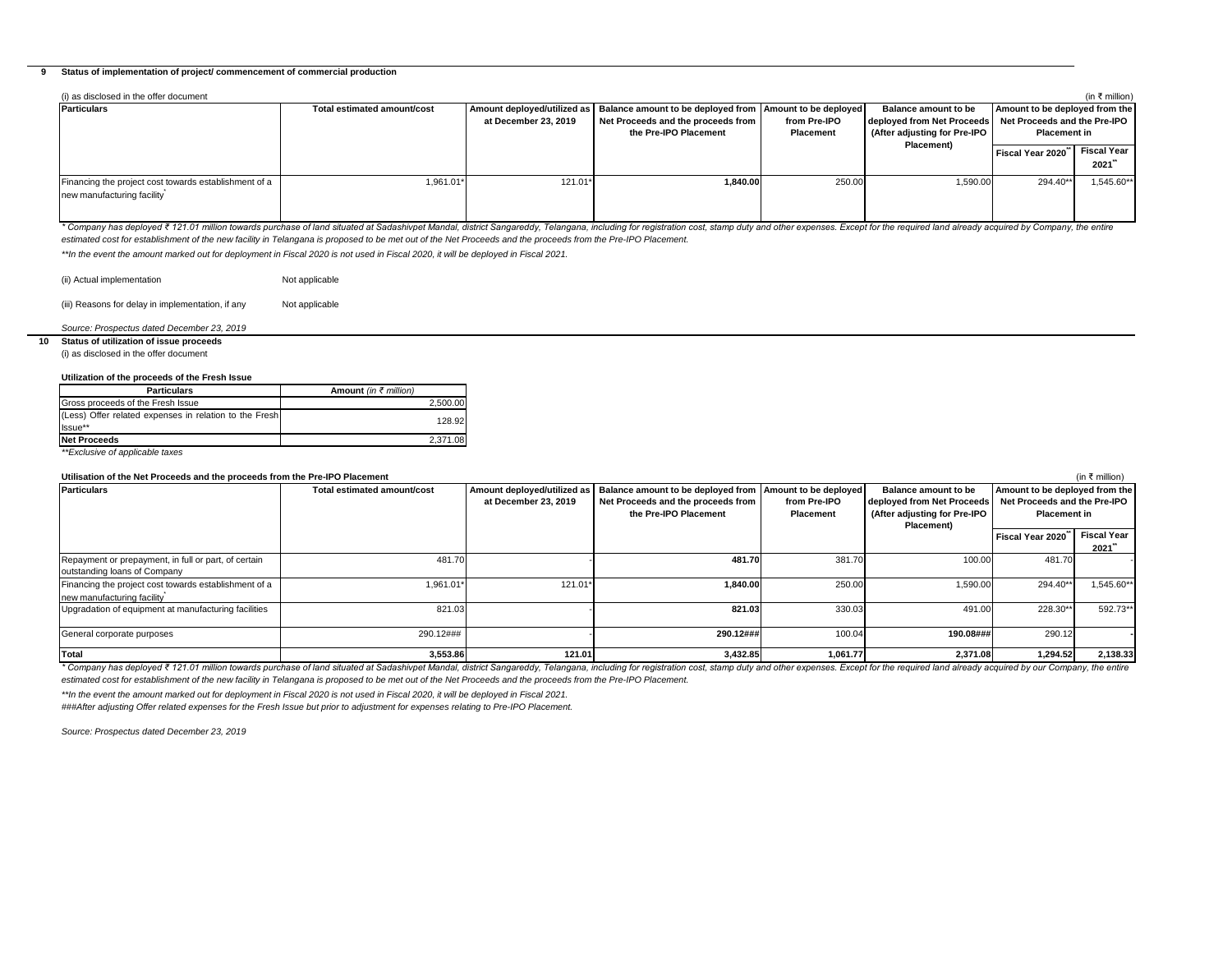# **9 Status of implementation of project/ commencement of commercial production**

| (i) as disclosed in the offer document<br>(in ₹ million)                            |                             |                      |                                                                                                                                                           |                                  |                                                                                                                          |                                                       |                            |  |  |
|-------------------------------------------------------------------------------------|-----------------------------|----------------------|-----------------------------------------------------------------------------------------------------------------------------------------------------------|----------------------------------|--------------------------------------------------------------------------------------------------------------------------|-------------------------------------------------------|----------------------------|--|--|
| <b>Particulars</b>                                                                  | Total estimated amount/cost | at December 23, 2019 | Amount deployed/utilized as   Balance amount to be deployed from   Amount to be deployed  <br>Net Proceeds and the proceeds from<br>the Pre-IPO Placement | from Pre-IPO<br><b>Placement</b> | <b>Balance amount to be</b><br>deployed from Net Proceeds   Net Proceeds and the Pre-IPO<br>(After adjusting for Pre-IPO | Amount to be deployed from the<br><b>Placement in</b> |                            |  |  |
|                                                                                     |                             |                      |                                                                                                                                                           |                                  | <b>Placement)</b>                                                                                                        | Fiscal Year 2020                                      | <b>Fiscal Year</b><br>2021 |  |  |
| Financing the project cost towards establishment of a<br>new manufacturing facility | 1,961.01*                   | 121.01*              | 1.840.00                                                                                                                                                  | 250.00                           | ا590.00.                                                                                                                 | 294.40**                                              | 1,545.60**                 |  |  |

\* Company has deployed ₹121.01 million towards purchase of land situated at Sadashivpet Mandal, district Sangareddy, Telangana, including for registration cost, stamp duty and other expenses. Except for the required land a *estimated cost for establishment of the new facility in Telangana is proposed to be met out of the Net Proceeds and the proceeds from the Pre-IPO Placement.* 

*\*\*In the event the amount marked out for deployment in Fiscal 2020 is not used in Fiscal 2020, it will be deployed in Fiscal 2021.*

(ii) Actual implementation Not applicable

(iii) Reasons for delay in implementation, if any Not applicable

# *Source: Prospectus dated December 23, 2019*

**10 Status of utilization of issue proceeds** (i) as disclosed in the offer document

| Utilization of the proceeds of the Fresh Issue                    |                              |  |  |  |  |  |
|-------------------------------------------------------------------|------------------------------|--|--|--|--|--|
| <b>Particulars</b>                                                | <b>Amount</b> (in ₹ million) |  |  |  |  |  |
| Gross proceeds of the Fresh Issue                                 | 2.500.00                     |  |  |  |  |  |
| (Less) Offer related expenses in relation to the Fresh<br>Issue** | 128.92                       |  |  |  |  |  |
| <b>Net Proceeds</b>                                               | 2,371.08                     |  |  |  |  |  |
| .<br>.                                                            |                              |  |  |  |  |  |

*\*\*Exclusive of applicable taxes*

# **Utilisation of the Net Proceeds and the proceeds from the Pre-IPO Placement**

| Utilisation of the Net Proceeds and the proceeds from the Pre-IPO Placement          |                             |                                                     |                                                                                                                             |                                  |                                                                                                  |                      | (in ₹ million)                                                                        |
|--------------------------------------------------------------------------------------|-----------------------------|-----------------------------------------------------|-----------------------------------------------------------------------------------------------------------------------------|----------------------------------|--------------------------------------------------------------------------------------------------|----------------------|---------------------------------------------------------------------------------------|
| <b>Particulars</b>                                                                   | Total estimated amount/cost | Amount deployed/utilized as<br>at December 23, 2019 | Balance amount to be deployed from   Amount to be deployed  <br>Net Proceeds and the proceeds from<br>the Pre-IPO Placement | from Pre-IPO<br><b>Placement</b> | Balance amount to be<br>deployed from Net Proceeds<br>(After adjusting for Pre-IPO<br>Placement) |                      | Amount to be deployed from the<br>Net Proceeds and the Pre-IPO<br><b>Placement in</b> |
|                                                                                      |                             |                                                     |                                                                                                                             |                                  |                                                                                                  | l Fiscal Year 2020 ٌ | <b>Fiscal Year</b><br>2021                                                            |
| Repayment or prepayment, in full or part, of certain<br>outstanding loans of Company | 481.7                       |                                                     | 481.70                                                                                                                      | 381.70                           | 100.00                                                                                           | 481.70               |                                                                                       |
| Financing the project cost towards establishment of a<br>new manufacturing facility  | 1,961.01*                   | 121.01*                                             | 1,840.00                                                                                                                    | 250.00                           | 1,590.00                                                                                         | 294.40**             | 1,545.60**                                                                            |
| Upgradation of equipment at manufacturing facilities                                 | 821.03                      |                                                     | 821.03                                                                                                                      | 330.03                           | 491.00                                                                                           | 228.30**             | 592.73**                                                                              |
| General corporate purposes                                                           | 290.12###                   |                                                     | 290.12###                                                                                                                   | 100.04                           | 190.08###                                                                                        | 290.12               |                                                                                       |
| Total                                                                                | 3,553.86                    | 121.01                                              | 3,432.85                                                                                                                    | 1,061.77                         | 2,371.08                                                                                         | 1,294.52             | 2,138.33                                                                              |

\* Company has deployed ₹121.01 million towards purchase of land situated at Sadashivpet Mandal, district Sangareddy, Telangana, including for registration cost, stamp duty and other expenses. Except for the required land a *estimated cost for establishment of the new facility in Telangana is proposed to be met out of the Net Proceeds and the proceeds from the Pre-IPO Placement.* 

*\*\*In the event the amount marked out for deployment in Fiscal 2020 is not used in Fiscal 2020, it will be deployed in Fiscal 2021.*

*###After adjusting Offer related expenses for the Fresh Issue but prior to adjustment for expenses relating to Pre-IPO Placement.*

*Source: Prospectus dated December 23, 2019*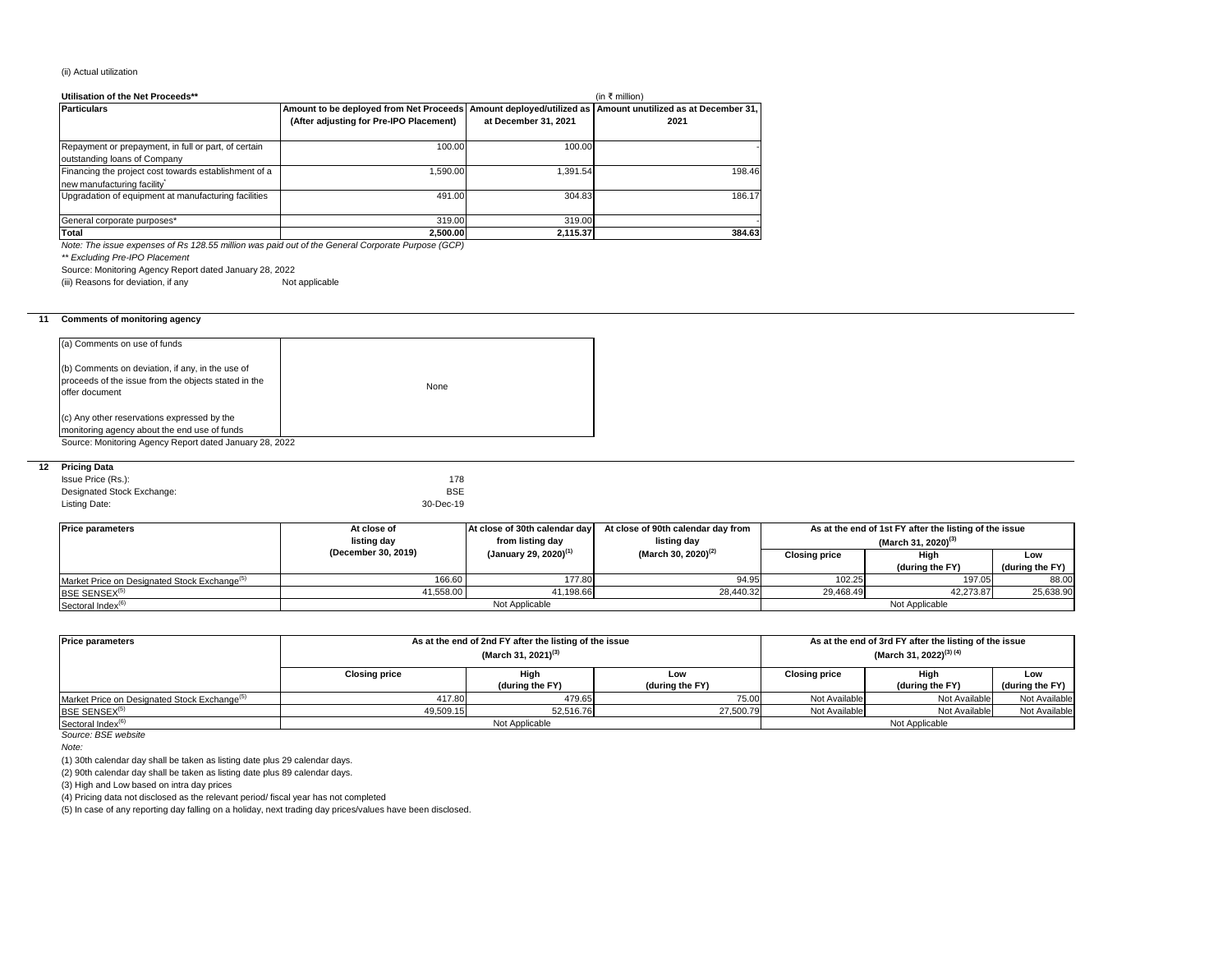# (ii) Actual utilization

| Utilisation of the Net Proceeds**                                                    | (in ₹ million)                                                                                                                                          |                      |        |
|--------------------------------------------------------------------------------------|---------------------------------------------------------------------------------------------------------------------------------------------------------|----------------------|--------|
| <b>Particulars</b>                                                                   | Amount to be deployed from Net Proceeds   Amount deployed/utilized as   Amount unutilized as at December 31,<br>(After adjusting for Pre-IPO Placement) | at December 31, 2021 | 2021   |
| Repayment or prepayment, in full or part, of certain<br>outstanding loans of Company | 100.00                                                                                                                                                  | 100.00               |        |
| Financing the project cost towards establishment of a<br>new manufacturing facility  | 1.590.00                                                                                                                                                | 1,391.54             | 198.46 |
| Upgradation of equipment at manufacturing facilities                                 | 491.00                                                                                                                                                  | 304.83               | 186.17 |
| General corporate purposes*                                                          | 319.00                                                                                                                                                  | 319.00               |        |
| Total                                                                                | 2,500.00                                                                                                                                                | 2,115.37             | 384.63 |

*Note: The issue expenses of Rs 128.55 million was paid out of the General Corporate Purpose (GCP)*

*\*\* Excluding Pre-IPO Placement*

Source: Monitoring Agency Report dated January 28, 2022

(iii) Reasons for deviation, if any Not applicable

# **11 Comments of monitoring agency**

| (a) Comments on use of funds                                                                                               |      |
|----------------------------------------------------------------------------------------------------------------------------|------|
| (b) Comments on deviation, if any, in the use of<br>proceeds of the issue from the objects stated in the<br>offer document | None |
| (c) Any other reservations expressed by the<br>monitoring agency about the end use of funds                                |      |

# **12 Pricing Data**

| Issue Price (Rs.):         | 178        |
|----------------------------|------------|
| Designated Stock Exchange: | <b>BSE</b> |
| Listing Date:              | 30-Dec-19  |

| <b>Price parameters</b>                                  | At close of         | At close of 30th calendar day     | At close of 90th calendar day from | As at the end of 1st FY after the listing of the issue |                 |                 |  |
|----------------------------------------------------------|---------------------|-----------------------------------|------------------------------------|--------------------------------------------------------|-----------------|-----------------|--|
|                                                          | listing day         | from listing day                  | listing day                        | (March 31, 2020) <sup>(3)</sup>                        |                 |                 |  |
|                                                          | (December 30, 2019) | (January 29, 2020) <sup>(1)</sup> | (March 30, 2020) <sup>(2)</sup>    | <b>Closing price</b>                                   | High            | Low             |  |
|                                                          |                     |                                   |                                    |                                                        | (during the FY) | (during the FY) |  |
| Market Price on Designated Stock Exchange <sup>(5)</sup> | 166.60              | 177.80                            | 94.95                              | 102.25                                                 | 197.05          | 88.00           |  |
| BSE SENSEX <sup>(5)</sup>                                | 41,558.00           | 41,198.66                         | 28,440.32                          | 29,468.49                                              | 42,273.87       | 25,638.90       |  |
| Not Applicable<br>Sectoral Index <sup>(6)</sup>          |                     |                                   |                                    |                                                        | Not Applicable  |                 |  |

| <b>Price parameters</b>                                  | As at the end of 2nd FY after the listing of the issue<br>(March 31, 2021) <sup>(3)</sup> |                         |                        | As at the end of 3rd FY after the listing of the issue<br>(March 31, 2022) <sup>(3) (4)</sup> |                         |                        |
|----------------------------------------------------------|-------------------------------------------------------------------------------------------|-------------------------|------------------------|-----------------------------------------------------------------------------------------------|-------------------------|------------------------|
|                                                          | <b>Closing price</b>                                                                      | High<br>(during the FY) | Low<br>(during the FY) | <b>Closing price</b>                                                                          | Hiah<br>(during the FY) | Low<br>(during the FY) |
| Market Price on Designated Stock Exchange <sup>(5)</sup> | 417.80                                                                                    | 479.65                  | 75.00                  | Not Available                                                                                 | Not Available           | Not Available          |
| BSE SENSEX <sup>(5)</sup>                                | 49,509.15                                                                                 | 52,516.76               | 27,500.79              | Not Available                                                                                 | Not Available           | Not Available          |
| Sectoral Index <sup>(6)</sup>                            | Not Applicable                                                                            |                         |                        | Not Applicable                                                                                |                         |                        |
| Source: BSE website                                      |                                                                                           |                         |                        |                                                                                               |                         |                        |

*Note:* 

(1) 30th calendar day shall be taken as listing date plus 29 calendar days.

(2) 90th calendar day shall be taken as listing date plus 89 calendar days.

(3) High and Low based on intra day prices

(4) Pricing data not disclosed as the relevant period/ fiscal year has not completed

(5) In case of any reporting day falling on a holiday, next trading day prices/values have been disclosed.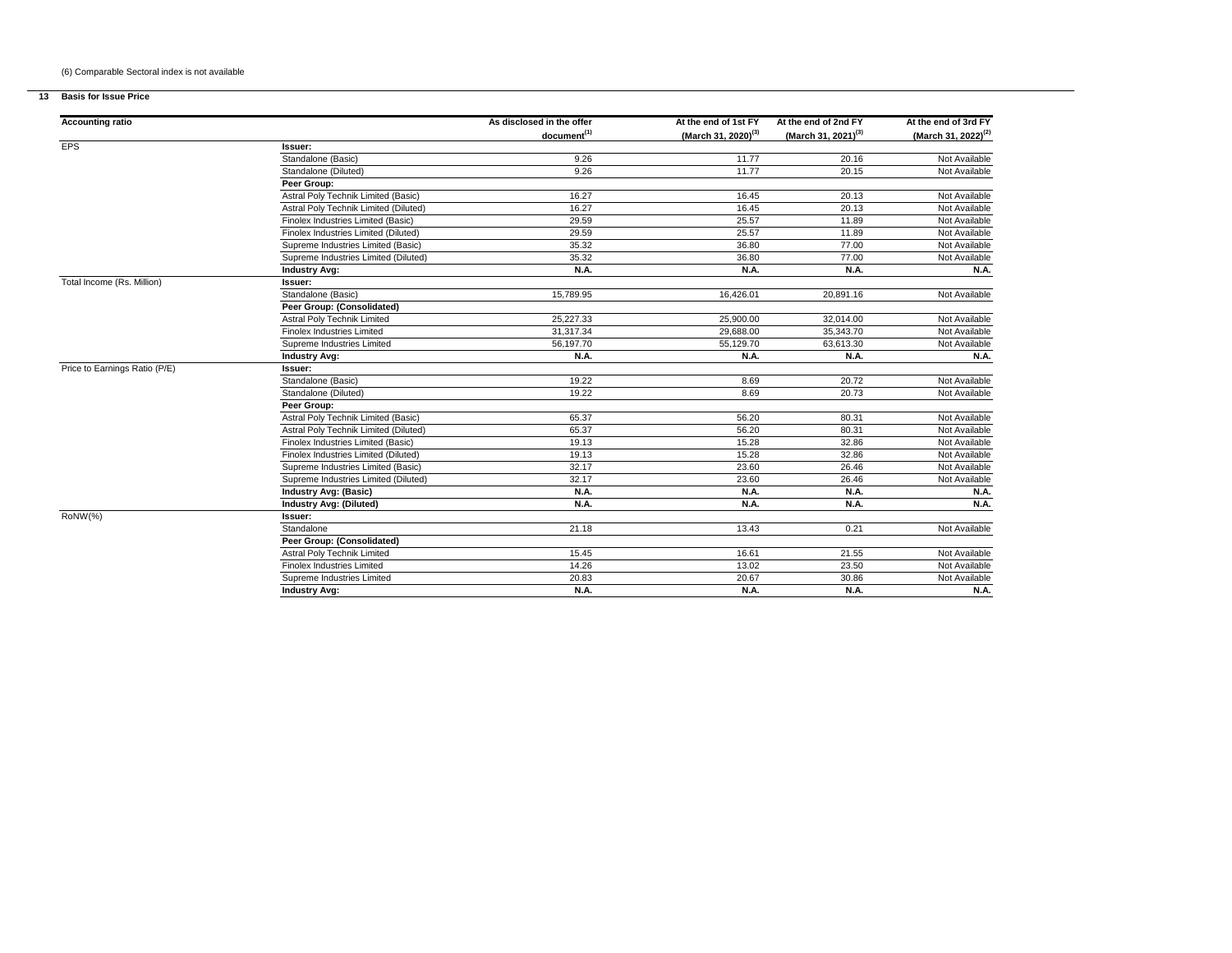# (6) Comparable Sectoral index is not available

# **13 Basis for Issue Price**

| <b>Accounting ratio</b>       |                                       | As disclosed in the offer | At the end of 1st FY            | At the end of 2nd FY            | At the end of 3rd FY            |
|-------------------------------|---------------------------------------|---------------------------|---------------------------------|---------------------------------|---------------------------------|
|                               |                                       | document <sup>(1)</sup>   | (March 31, 2020) <sup>(3)</sup> | (March 31, 2021) <sup>(3)</sup> | (March 31, 2022) <sup>(2)</sup> |
| <b>EPS</b>                    | Issuer:                               |                           |                                 |                                 |                                 |
|                               | Standalone (Basic)                    | 9.26                      | 11.77                           | 20.16                           | Not Available                   |
|                               | Standalone (Diluted)                  | 9.26                      | 11.77                           | 20.15                           | Not Available                   |
|                               | Peer Group:                           |                           |                                 |                                 |                                 |
|                               | Astral Poly Technik Limited (Basic)   | 16.27                     | 16.45                           | 20.13                           | Not Available                   |
|                               | Astral Poly Technik Limited (Diluted) | 16.27                     | 16.45                           | 20.13                           | Not Available                   |
|                               | Finolex Industries Limited (Basic)    | 29.59                     | 25.57                           | 11.89                           | Not Available                   |
|                               | Finolex Industries Limited (Diluted)  | 29.59                     | 25.57                           | 11.89                           | Not Available                   |
|                               | Supreme Industries Limited (Basic)    | 35.32                     | 36.80                           | 77.00                           | Not Available                   |
|                               | Supreme Industries Limited (Diluted)  | 35.32                     | 36.80                           | 77.00                           | Not Available                   |
|                               | <b>Industry Avg:</b>                  | <b>N.A.</b>               | <b>N.A.</b>                     | N.A.                            | <b>N.A.</b>                     |
| Total Income (Rs. Million)    | Issuer:                               |                           |                                 |                                 |                                 |
|                               | Standalone (Basic)                    | 15,789.95                 | 16,426.01                       | 20,891.16                       | Not Available                   |
|                               | Peer Group: (Consolidated)            |                           |                                 |                                 |                                 |
|                               | Astral Poly Technik Limited           | 25,227.33                 | 25,900.00                       | 32,014.00                       | Not Available                   |
|                               | Finolex Industries Limited            | 31,317.34                 | 29,688.00                       | 35,343.70                       | Not Available                   |
|                               | Supreme Industries Limited            | 56,197.70                 | 55,129.70                       | 63,613.30                       | Not Available                   |
|                               | <b>Industry Avg:</b>                  | N.A.                      | <b>N.A.</b>                     | N.A.                            | <b>N.A.</b>                     |
| Price to Earnings Ratio (P/E) | Issuer:                               |                           |                                 |                                 |                                 |
|                               | Standalone (Basic)                    | 19.22                     | 8.69                            | 20.72                           | Not Available                   |
|                               | Standalone (Diluted)                  | 19.22                     | 8.69                            | 20.73                           | Not Available                   |
|                               | Peer Group:                           |                           |                                 |                                 |                                 |
|                               | Astral Poly Technik Limited (Basic)   | 65.37                     | 56.20                           | 80.31                           | Not Available                   |
|                               | Astral Poly Technik Limited (Diluted) | 65.37                     | 56.20                           | 80.31                           | Not Available                   |
|                               | Finolex Industries Limited (Basic)    | 19.13                     | 15.28                           | 32.86                           | Not Available                   |
|                               | Finolex Industries Limited (Diluted)  | 19.13                     | 15.28                           | 32.86                           | Not Available                   |
|                               | Supreme Industries Limited (Basic)    | 32.17                     | 23.60                           | 26.46                           | Not Available                   |
|                               | Supreme Industries Limited (Diluted)  | 32.17                     | 23.60                           | 26.46                           | Not Available                   |
|                               | <b>Industry Avg: (Basic)</b>          | N.A.                      | <b>N.A.</b>                     | N.A.                            | <b>N.A.</b>                     |
|                               | <b>Industry Avg: (Diluted)</b>        | N.A.                      | <b>N.A.</b>                     | N.A.                            | N.A.                            |
| RoNW(%)                       | Issuer:                               |                           |                                 |                                 |                                 |
|                               | Standalone                            | 21.18                     | 13.43                           | 0.21                            | Not Available                   |
|                               | Peer Group: (Consolidated)            |                           |                                 |                                 |                                 |
|                               | Astral Poly Technik Limited           | 15.45                     | 16.61                           | 21.55                           | Not Available                   |
|                               | <b>Finolex Industries Limited</b>     | 14.26                     | 13.02                           | 23.50                           | Not Available                   |
|                               | Supreme Industries Limited            | 20.83                     | 20.67                           | 30.86                           | Not Available                   |
|                               | <b>Industry Avg:</b>                  | <b>N.A.</b>               | <b>N.A.</b>                     | <b>N.A.</b>                     | <b>N.A.</b>                     |
|                               |                                       |                           |                                 |                                 |                                 |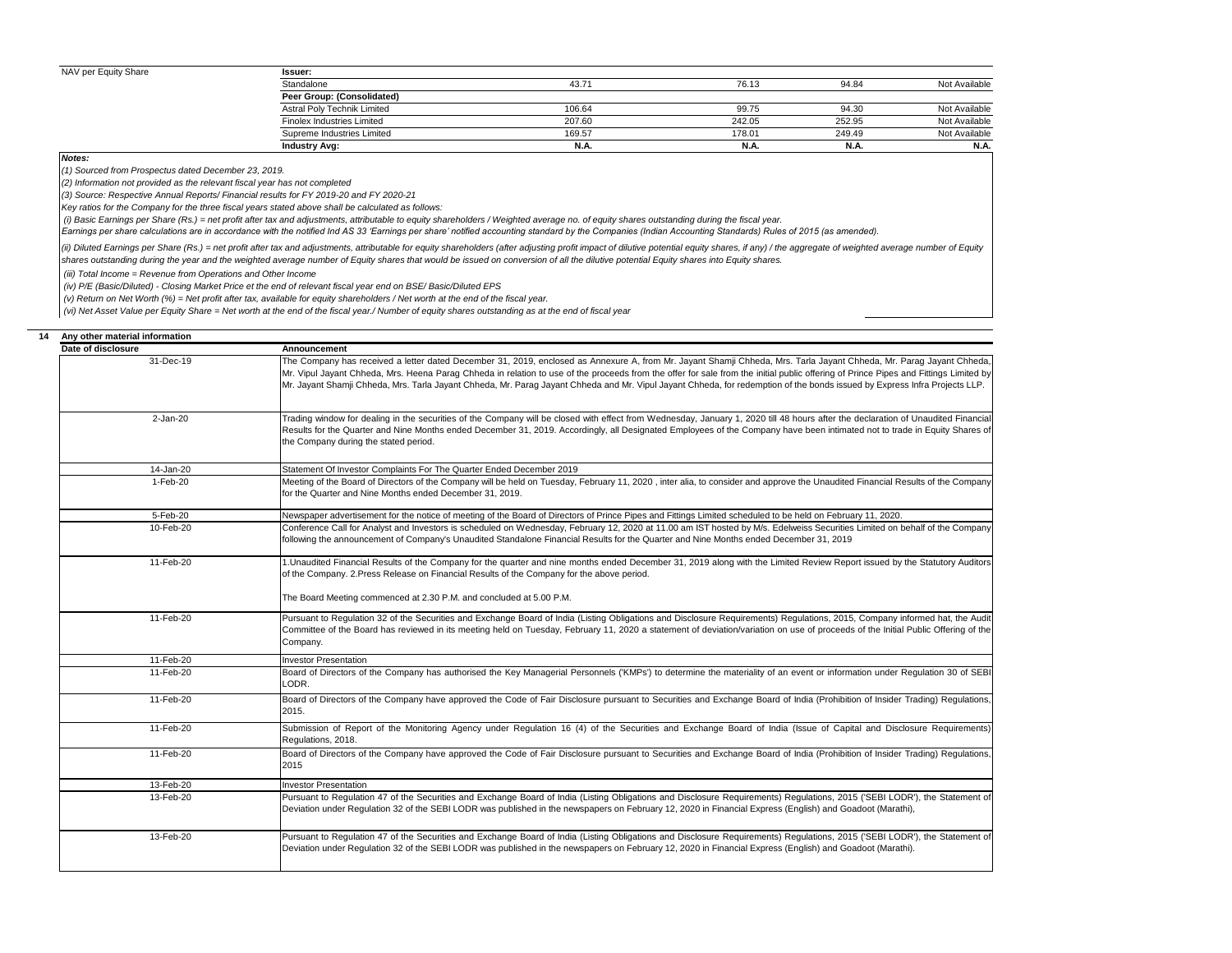# NAV per Equity Share

| Issuer:                           |             |        |        |               |
|-----------------------------------|-------------|--------|--------|---------------|
| Standalone                        | 43.71       | 76.13  | 94.84  | Not Available |
| Peer Group: (Consolidated)        |             |        |        |               |
| Astral Poly Technik Limited       | 106.64      | 99.75  | 94.30  | Not Available |
| <b>Finolex Industries Limited</b> | 207.60      | 242.05 | 252.95 | Not Available |
| Supreme Industries Limited        | 169.57      | 178.01 | 249.49 | Not Available |
| <b>Industry Avg:</b>              | <b>N.A.</b> | N.A.   | N.A.   | N.A           |

*Notes:*

*(1) Sourced from Prospectus dated December 23, 2019.*

*(2) Information not provided as the relevant fiscal year has not completed*

*(3) Source: Respective Annual Reports/ Financial results for FY 2019-20 and FY 2020-21*

*Key ratios for the Company for the three fiscal years stated above shall be calculated as follows:*

 *(i) Basic Earnings per Share (Rs.) = net profit after tax and adjustments, attributable to equity shareholders / Weighted average no. of equity shares outstanding during the fiscal year.*

*Earnings per share calculations are in accordance with the notified Ind AS 33 'Earnings per share' notified accounting standard by the Companies (Indian Accounting Standards) Rules of 2015 (as amended).*

(ii) Diluted Earnings per Share (Rs.) = net profit after tax and adjustments, attributable for equity shareholders (after adjusting profit impact of dilutive potential equity shares, if any) / the aggregate of weighted ave *shares outstanding during the year and the weighted average number of Equity shares that would be issued on conversion of all the dilutive potential Equity shares into Equity shares.*

 *(iii) Total Income = Revenue from Operations and Other Income*

 *(iv) P/E (Basic/Diluted) - Closing Market Price et the end of relevant fiscal year end on BSE/ Basic/Diluted EPS*

 *(v) Return on Net Worth (%) = Net profit after tax, available for equity shareholders / Net worth at the end of the fiscal year.*

 *(vi) Net Asset Value per Equity Share = Net worth at the end of the fiscal year./ Number of equity shares outstanding as at the end of fiscal year*

| Any other material information |                                                                                                                                                                                                                                                                                                                                                                                                                                                                                                                                            |
|--------------------------------|--------------------------------------------------------------------------------------------------------------------------------------------------------------------------------------------------------------------------------------------------------------------------------------------------------------------------------------------------------------------------------------------------------------------------------------------------------------------------------------------------------------------------------------------|
| Date of disclosure             | Announcement                                                                                                                                                                                                                                                                                                                                                                                                                                                                                                                               |
| 31-Dec-19                      | The Company has received a letter dated December 31, 2019, enclosed as Annexure A, from Mr. Jayant Shamji Chheda, Mrs. Tarla Jayant Chheda, Mr. Parag Jayant Chheda,<br>Mr. Vipul Jayant Chheda, Mrs. Heena Parag Chheda in relation to use of the proceeds from the offer for sale from the initial public offering of Prince Pipes and Fittings Limited by<br>Mr. Jayant Shamji Chheda, Mrs. Tarla Jayant Chheda, Mr. Parag Jayant Chheda and Mr. Vipul Jayant Chheda, for redemption of the bonds issued by Express Infra Projects LLP. |
| 2-Jan-20                       | Trading window for dealing in the securities of the Company will be closed with effect from Wednesday, January 1, 2020 till 48 hours after the declaration of Unaudited Financial<br>Results for the Quarter and Nine Months ended December 31, 2019. Accordingly, all Designated Employees of the Company have been intimated not to trade in Equity Shares of<br>the Company during the stated period.                                                                                                                                   |
| 14-Jan-20                      | Statement Of Investor Complaints For The Quarter Ended December 2019                                                                                                                                                                                                                                                                                                                                                                                                                                                                       |
| 1-Feb-20                       | Meeting of the Board of Directors of the Company will be held on Tuesday, February 11, 2020, inter alia, to consider and approve the Unaudited Financial Results of the Company<br>for the Quarter and Nine Months ended December 31, 2019.                                                                                                                                                                                                                                                                                                |
| 5-Feb-20                       | Newspaper advertisement for the notice of meeting of the Board of Directors of Prince Pipes and Fittings Limited scheduled to be held on February 11, 2020.                                                                                                                                                                                                                                                                                                                                                                                |
| 10-Feb-20                      | Conference Call for Analyst and Investors is scheduled on Wednesday, February 12, 2020 at 11.00 am IST hosted by M/s. Edelweiss Securities Limited on behalf of the Company<br>following the announcement of Company's Unaudited Standalone Financial Results for the Quarter and Nine Months ended December 31, 2019                                                                                                                                                                                                                      |
| 11-Feb-20                      | 1. Unaudited Financial Results of the Company for the quarter and nine months ended December 31, 2019 along with the Limited Review Report issued by the Statutory Auditors<br>of the Company. 2. Press Release on Financial Results of the Company for the above period.                                                                                                                                                                                                                                                                  |
|                                | The Board Meeting commenced at 2.30 P.M. and concluded at 5.00 P.M.                                                                                                                                                                                                                                                                                                                                                                                                                                                                        |
| 11-Feb-20                      | Pursuant to Regulation 32 of the Securities and Exchange Board of India (Listing Obligations and Disclosure Requirements) Regulations, 2015, Company informed hat, the Audit<br>Committee of the Board has reviewed in its meeting held on Tuesday, February 11, 2020 a statement of deviation/variation on use of proceeds of the Initial Public Offering of the<br>Company.                                                                                                                                                              |
| 11-Feb-20                      | <b>Investor Presentation</b>                                                                                                                                                                                                                                                                                                                                                                                                                                                                                                               |
| 11-Feb-20                      | Board of Directors of the Company has authorised the Key Managerial Personnels ('KMPs') to determine the materiality of an event or information under Regulation 30 of SEBI<br>LODR.                                                                                                                                                                                                                                                                                                                                                       |
| 11-Feb-20                      | Board of Directors of the Company have approved the Code of Fair Disclosure pursuant to Securities and Exchange Board of India (Prohibition of Insider Trading) Regulations,<br>2015.                                                                                                                                                                                                                                                                                                                                                      |
| 11-Feb-20                      | Submission of Report of the Monitoring Agency under Regulation 16 (4) of the Securities and Exchange Board of India (Issue of Capital and Disclosure Requirements)<br>Regulations, 2018.                                                                                                                                                                                                                                                                                                                                                   |
| 11-Feb-20                      | Board of Directors of the Company have approved the Code of Fair Disclosure pursuant to Securities and Exchange Board of India (Prohibition of Insider Trading) Regulations,<br>2015                                                                                                                                                                                                                                                                                                                                                       |
| 13-Feb-20                      | <b>Investor Presentation</b>                                                                                                                                                                                                                                                                                                                                                                                                                                                                                                               |
| 13-Feb-20                      | Pursuant to Regulation 47 of the Securities and Exchange Board of India (Listing Obligations and Disclosure Requirements) Regulations, 2015 ('SEBI LODR'), the Statement of<br>Deviation under Regulation 32 of the SEBI LODR was published in the newspapers on February 12, 2020 in Financial Express (English) and Goadoot (Marathi),                                                                                                                                                                                                   |
| 13-Feb-20                      | Pursuant to Regulation 47 of the Securities and Exchange Board of India (Listing Obligations and Disclosure Requirements) Regulations, 2015 ('SEBI LODR'), the Statement of<br>Deviation under Regulation 32 of the SEBI LODR was published in the newspapers on February 12, 2020 in Financial Express (English) and Goadoot (Marathi).                                                                                                                                                                                                   |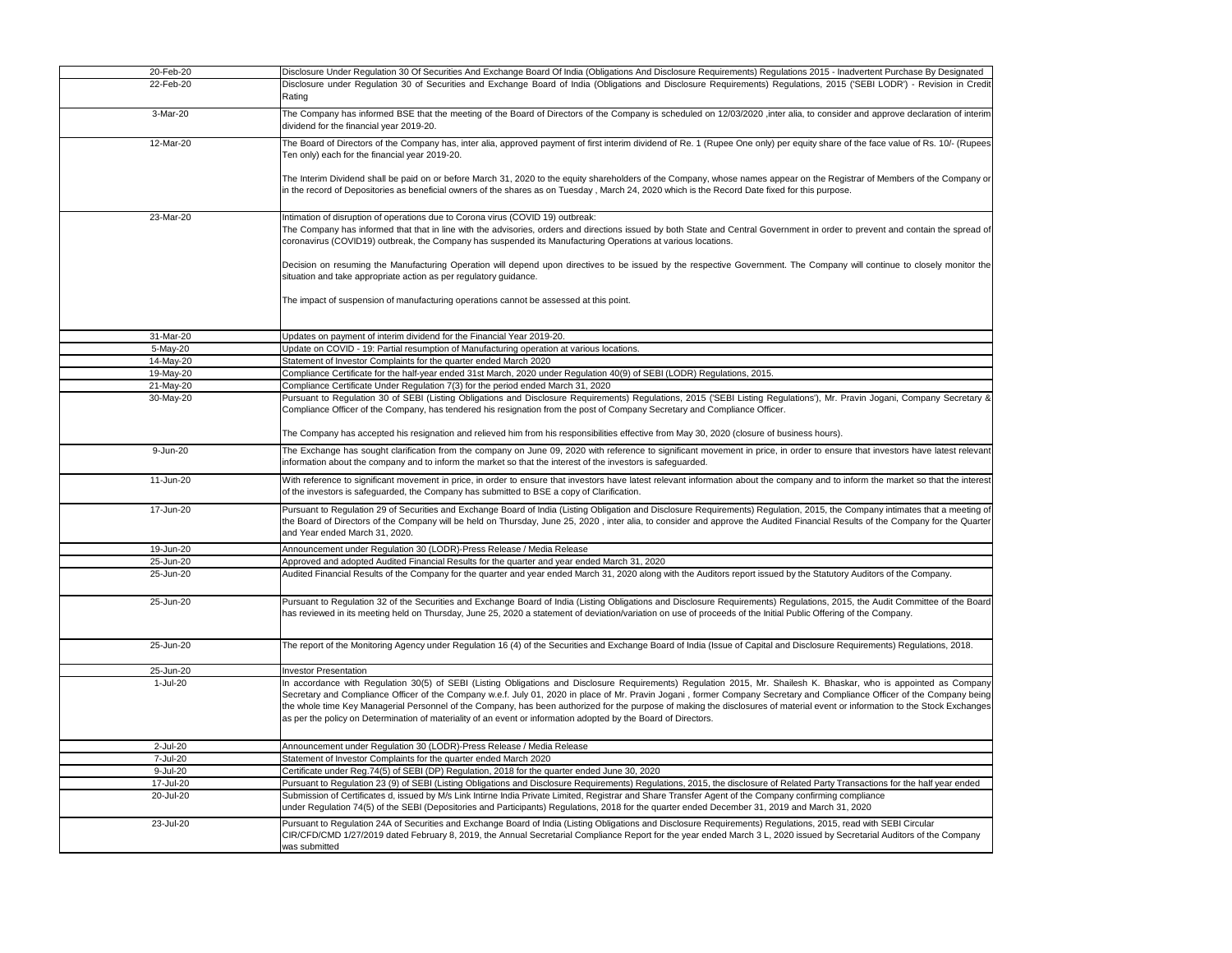| 20-Feb-20 | Disclosure Under Regulation 30 Of Securities And Exchange Board Of India (Obligations And Disclosure Requirements) Regulations 2015 - Inadvertent Purchase By Designated                                                                                                                                                                                                                                                                                                                                                                                                                                                                            |
|-----------|-----------------------------------------------------------------------------------------------------------------------------------------------------------------------------------------------------------------------------------------------------------------------------------------------------------------------------------------------------------------------------------------------------------------------------------------------------------------------------------------------------------------------------------------------------------------------------------------------------------------------------------------------------|
| 22-Feb-20 | Disclosure under Regulation 30 of Securities and Exchange Board of India (Obligations and Disclosure Requirements) Regulations, 2015 ('SEBI LODR') - Revision in Credit<br>Rating                                                                                                                                                                                                                                                                                                                                                                                                                                                                   |
| 3-Mar-20  | The Company has informed BSE that the meeting of the Board of Directors of the Company is scheduled on 12/03/2020 ,inter alia, to consider and approve declaration of interim<br>dividend for the financial year 2019-20.                                                                                                                                                                                                                                                                                                                                                                                                                           |
| 12-Mar-20 | The Board of Directors of the Company has, inter alia, approved payment of first interim dividend of Re. 1 (Rupee One only) per equity share of the face value of Rs. 10/- (Rupees<br>Ten only) each for the financial year 2019-20.                                                                                                                                                                                                                                                                                                                                                                                                                |
|           | The Interim Dividend shall be paid on or before March 31, 2020 to the equity shareholders of the Company, whose names appear on the Registrar of Members of the Company or<br>in the record of Depositories as beneficial owners of the shares as on Tuesday, March 24, 2020 which is the Record Date fixed for this purpose.                                                                                                                                                                                                                                                                                                                       |
| 23-Mar-20 | Intimation of disruption of operations due to Corona virus (COVID 19) outbreak:<br>The Company has informed that that in line with the advisories, orders and directions issued by both State and Central Government in order to prevent and contain the spread of<br>coronavirus (COVID19) outbreak, the Company has suspended its Manufacturing Operations at various locations.                                                                                                                                                                                                                                                                  |
|           | Decision on resuming the Manufacturing Operation will depend upon directives to be issued by the respective Government. The Company will continue to closely monitor the<br>situation and take appropriate action as per regulatory guidance.                                                                                                                                                                                                                                                                                                                                                                                                       |
|           | The impact of suspension of manufacturing operations cannot be assessed at this point.                                                                                                                                                                                                                                                                                                                                                                                                                                                                                                                                                              |
| 31-Mar-20 | Updates on payment of interim dividend for the Financial Year 2019-20.                                                                                                                                                                                                                                                                                                                                                                                                                                                                                                                                                                              |
| 5-May-20  | Update on COVID - 19: Partial resumption of Manufacturing operation at various locations.                                                                                                                                                                                                                                                                                                                                                                                                                                                                                                                                                           |
| 14-May-20 | Statement of Investor Complaints for the quarter ended March 2020                                                                                                                                                                                                                                                                                                                                                                                                                                                                                                                                                                                   |
| 19-May-20 | Compliance Certificate for the half-year ended 31st March, 2020 under Regulation 40(9) of SEBI (LODR) Regulations, 2015.                                                                                                                                                                                                                                                                                                                                                                                                                                                                                                                            |
| 21-May-20 | Compliance Certificate Under Regulation 7(3) for the period ended March 31, 2020                                                                                                                                                                                                                                                                                                                                                                                                                                                                                                                                                                    |
| 30-May-20 | Pursuant to Regulation 30 of SEBI (Listing Obligations and Disclosure Requirements) Regulations, 2015 ('SEBI Listing Regulations'), Mr. Pravin Jogani, Company Secretary &                                                                                                                                                                                                                                                                                                                                                                                                                                                                          |
|           | Compliance Officer of the Company, has tendered his resignation from the post of Company Secretary and Compliance Officer.                                                                                                                                                                                                                                                                                                                                                                                                                                                                                                                          |
|           | The Company has accepted his resignation and relieved him from his responsibilities effective from May 30, 2020 (closure of business hours).                                                                                                                                                                                                                                                                                                                                                                                                                                                                                                        |
| 9-Jun-20  | The Exchange has sought clarification from the company on June 09, 2020 with reference to significant movement in price, in order to ensure that investors have latest relevant<br>information about the company and to inform the market so that the interest of the investors is safeguarded.                                                                                                                                                                                                                                                                                                                                                     |
| 11-Jun-20 | With reference to significant movement in price, in order to ensure that investors have latest relevant information about the company and to inform the market so that the interest<br>of the investors is safeguarded, the Company has submitted to BSE a copy of Clarification.                                                                                                                                                                                                                                                                                                                                                                   |
| 17-Jun-20 | Pursuant to Regulation 29 of Securities and Exchange Board of India (Listing Obligation and Disclosure Requirements) Regulation, 2015, the Company intimates that a meeting of<br>the Board of Directors of the Company will be held on Thursday, June 25, 2020, inter alia, to consider and approve the Audited Financial Results of the Company for the Quarter<br>and Year ended March 31, 2020.                                                                                                                                                                                                                                                 |
| 19-Jun-20 | Announcement under Regulation 30 (LODR)-Press Release / Media Release                                                                                                                                                                                                                                                                                                                                                                                                                                                                                                                                                                               |
| 25-Jun-20 | Approved and adopted Audited Financial Results for the quarter and year ended March 31, 2020                                                                                                                                                                                                                                                                                                                                                                                                                                                                                                                                                        |
| 25-Jun-20 | Audited Financial Results of the Company for the quarter and year ended March 31, 2020 along with the Auditors report issued by the Statutory Auditors of the Company.                                                                                                                                                                                                                                                                                                                                                                                                                                                                              |
| 25-Jun-20 | Pursuant to Regulation 32 of the Securities and Exchange Board of India (Listing Obligations and Disclosure Requirements) Regulations, 2015, the Audit Committee of the Board<br>has reviewed in its meeting held on Thursday, June 25, 2020 a statement of deviation/variation on use of proceeds of the Initial Public Offering of the Company.                                                                                                                                                                                                                                                                                                   |
| 25-Jun-20 | The report of the Monitoring Agency under Regulation 16 (4) of the Securities and Exchange Board of India (Issue of Capital and Disclosure Requirements) Regulations, 2018.                                                                                                                                                                                                                                                                                                                                                                                                                                                                         |
| 25-Jun-20 | <b>Investor Presentation</b>                                                                                                                                                                                                                                                                                                                                                                                                                                                                                                                                                                                                                        |
| 1-Jul-20  | In accordance with Regulation 30(5) of SEBI (Listing Obligations and Disclosure Requirements) Regulation 2015, Mr. Shailesh K. Bhaskar, who is appointed as Company<br>Secretary and Compliance Officer of the Company w.e.f. July 01, 2020 in place of Mr. Pravin Jogani, former Company Secretary and Compliance Officer of the Company being<br>the whole time Key Managerial Personnel of the Company, has been authorized for the purpose of making the disclosures of material event or information to the Stock Exchanges<br>as per the policy on Determination of materiality of an event or information adopted by the Board of Directors. |
| 2-Jul-20  | Announcement under Regulation 30 (LODR)-Press Release / Media Release                                                                                                                                                                                                                                                                                                                                                                                                                                                                                                                                                                               |
| 7-Jul-20  | Statement of Investor Complaints for the quarter ended March 2020                                                                                                                                                                                                                                                                                                                                                                                                                                                                                                                                                                                   |
| 9-Jul-20  | Certificate under Reg.74(5) of SEBI (DP) Regulation, 2018 for the quarter ended June 30, 2020                                                                                                                                                                                                                                                                                                                                                                                                                                                                                                                                                       |
| 17-Jul-20 | Pursuant to Regulation 23 (9) of SEBI (Listing Obligations and Disclosure Requirements) Regulations, 2015, the disclosure of Related Party Transactions for the half year ended                                                                                                                                                                                                                                                                                                                                                                                                                                                                     |
| 20-Jul-20 | Submission of Certificates d, issued by M/s Link Intirne India Private Limited, Registrar and Share Transfer Agent of the Company confirming compliance<br>under Regulation 74(5) of the SEBI (Depositories and Participants) Regulations, 2018 for the quarter ended December 31, 2019 and March 31, 2020                                                                                                                                                                                                                                                                                                                                          |
| 23-Jul-20 | Pursuant to Regulation 24A of Securities and Exchange Board of India (Listing Obligations and Disclosure Requirements) Regulations, 2015, read with SEBI Circular<br>CIR/CFD/CMD 1/27/2019 dated February 8, 2019, the Annual Secretarial Compliance Report for the year ended March 3 L, 2020 issued by Secretarial Auditors of the Company<br>was submitted                                                                                                                                                                                                                                                                                       |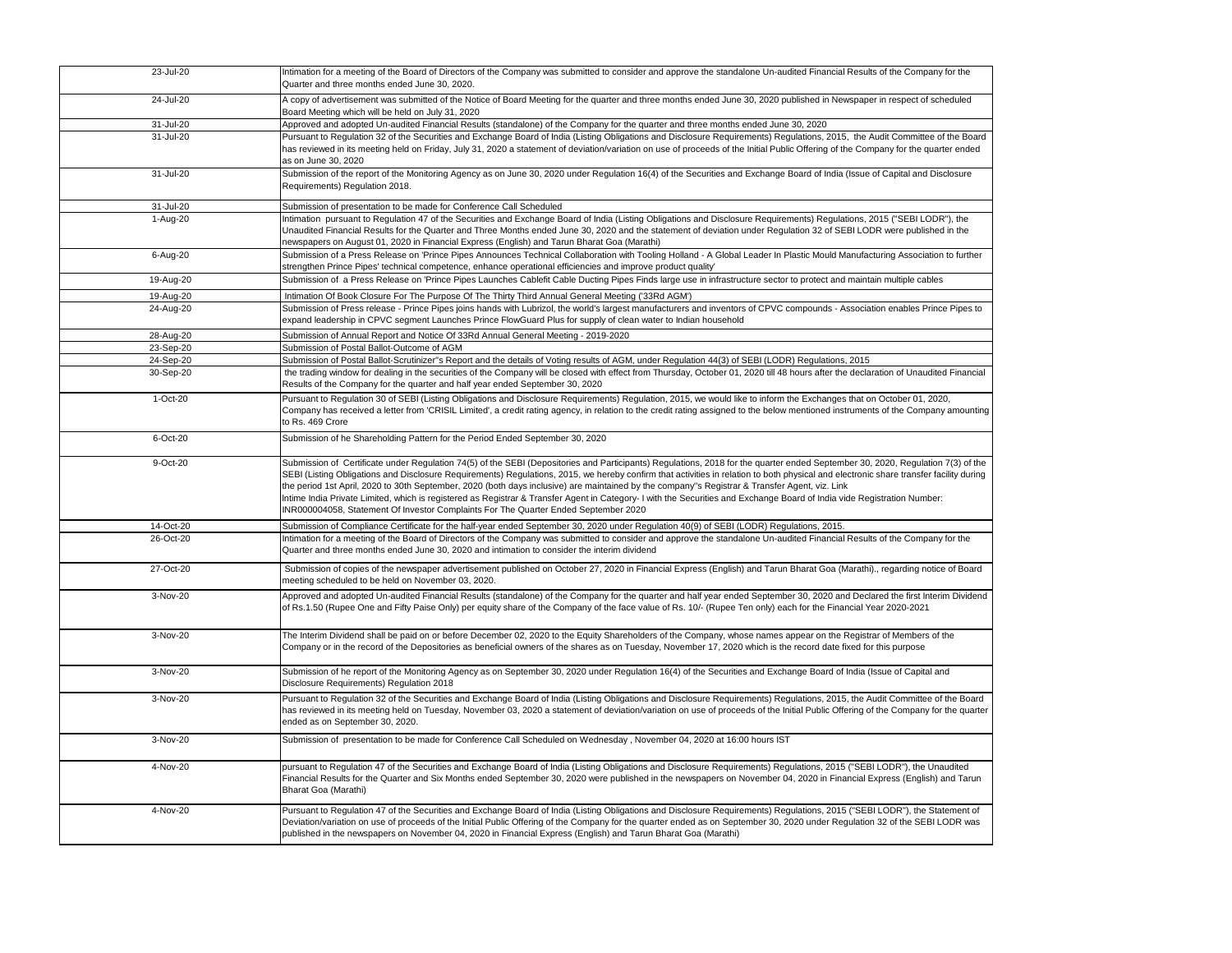| 23-Jul-20 | Intimation for a meeting of the Board of Directors of the Company was submitted to consider and approve the standalone Un-audited Financial Results of the Company for the<br>Quarter and three months ended June 30, 2020.                                                                                                                                                                                                                                                                                                                                                                                                                                                                                                                                                                    |
|-----------|------------------------------------------------------------------------------------------------------------------------------------------------------------------------------------------------------------------------------------------------------------------------------------------------------------------------------------------------------------------------------------------------------------------------------------------------------------------------------------------------------------------------------------------------------------------------------------------------------------------------------------------------------------------------------------------------------------------------------------------------------------------------------------------------|
| 24-Jul-20 | A copy of advertisement was submitted of the Notice of Board Meeting for the quarter and three months ended June 30, 2020 published in Newspaper in respect of scheduled<br>Board Meeting which will be held on July 31, 2020                                                                                                                                                                                                                                                                                                                                                                                                                                                                                                                                                                  |
| 31-Jul-20 | Approved and adopted Un-audited Financial Results (standalone) of the Company for the quarter and three months ended June 30, 2020                                                                                                                                                                                                                                                                                                                                                                                                                                                                                                                                                                                                                                                             |
| 31-Jul-20 | Pursuant to Regulation 32 of the Securities and Exchange Board of India (Listing Obligations and Disclosure Requirements) Regulations, 2015, the Audit Committee of the Board<br>has reviewed in its meeting held on Friday, July 31, 2020 a statement of deviation/variation on use of proceeds of the Initial Public Offering of the Company for the quarter ended<br>as on June 30, 2020                                                                                                                                                                                                                                                                                                                                                                                                    |
| 31-Jul-20 | Submission of the report of the Monitoring Agency as on June 30, 2020 under Regulation 16(4) of the Securities and Exchange Board of India (Issue of Capital and Disclosure<br>Requirements) Regulation 2018.                                                                                                                                                                                                                                                                                                                                                                                                                                                                                                                                                                                  |
| 31-Jul-20 | Submission of presentation to be made for Conference Call Scheduled                                                                                                                                                                                                                                                                                                                                                                                                                                                                                                                                                                                                                                                                                                                            |
| 1-Aug-20  | Intimation pursuant to Regulation 47 of the Securities and Exchange Board of India (Listing Obligations and Disclosure Requirements) Regulations, 2015 ("SEBI LODR"), the<br>Unaudited Financial Results for the Quarter and Three Months ended June 30, 2020 and the statement of deviation under Regulation 32 of SEBI LODR were published in the<br>newspapers on August 01, 2020 in Financial Express (English) and Tarun Bharat Goa (Marathi)                                                                                                                                                                                                                                                                                                                                             |
| 6-Aug-20  | Submission of a Press Release on 'Prince Pipes Announces Technical Collaboration with Tooling Holland - A Global Leader In Plastic Mould Manufacturing Association to further<br>strengthen Prince Pipes' technical competence, enhance operational efficiencies and improve product quality'                                                                                                                                                                                                                                                                                                                                                                                                                                                                                                  |
| 19-Aug-20 | Submission of a Press Release on 'Prince Pipes Launches Cablefit Cable Ducting Pipes Finds large use in infrastructure sector to protect and maintain multiple cables                                                                                                                                                                                                                                                                                                                                                                                                                                                                                                                                                                                                                          |
| 19-Aug-20 | Intimation Of Book Closure For The Purpose Of The Thirty Third Annual General Meeting ('33Rd AGM')                                                                                                                                                                                                                                                                                                                                                                                                                                                                                                                                                                                                                                                                                             |
| 24-Aug-20 | Submission of Press release - Prince Pipes joins hands with Lubrizol, the world's largest manufacturers and inventors of CPVC compounds - Association enables Prince Pipes to<br>expand leadership in CPVC segment Launches Prince FlowGuard Plus for supply of clean water to Indian household                                                                                                                                                                                                                                                                                                                                                                                                                                                                                                |
| 28-Aug-20 | Submission of Annual Report and Notice Of 33Rd Annual General Meeting - 2019-2020                                                                                                                                                                                                                                                                                                                                                                                                                                                                                                                                                                                                                                                                                                              |
| 23-Sep-20 | Submission of Postal Ballot-Outcome of AGM                                                                                                                                                                                                                                                                                                                                                                                                                                                                                                                                                                                                                                                                                                                                                     |
| 24-Sep-20 | Submission of Postal Ballot-Scrutinizer"s Report and the details of Voting results of AGM, under Regulation 44(3) of SEBI (LODR) Regulations, 2015                                                                                                                                                                                                                                                                                                                                                                                                                                                                                                                                                                                                                                             |
| 30-Sep-20 | the trading window for dealing in the securities of the Company will be closed with effect from Thursday, October 01, 2020 till 48 hours after the declaration of Unaudited Financial<br>Results of the Company for the quarter and half year ended September 30, 2020                                                                                                                                                                                                                                                                                                                                                                                                                                                                                                                         |
| 1-Oct-20  | Pursuant to Regulation 30 of SEBI (Listing Obligations and Disclosure Requirements) Regulation, 2015, we would like to inform the Exchanges that on October 01, 2020,<br>Company has received a letter from 'CRISIL Limited', a credit rating agency, in relation to the credit rating assigned to the below mentioned instruments of the Company amounting<br>to Rs. 469 Crore                                                                                                                                                                                                                                                                                                                                                                                                                |
| 6-Oct-20  | Submission of he Shareholding Pattern for the Period Ended September 30, 2020                                                                                                                                                                                                                                                                                                                                                                                                                                                                                                                                                                                                                                                                                                                  |
| 9-Oct-20  | Submission of Certificate under Regulation 74(5) of the SEBI (Depositories and Participants) Regulations, 2018 for the quarter ended September 30, 2020, Regulation 7(3) of the<br>SEBI (Listing Obligations and Disclosure Requirements) Regulations, 2015, we hereby confirm that activities in relation to both physical and electronic share transfer facility during<br>the period 1st April, 2020 to 30th September, 2020 (both days inclusive) are maintained by the company's Registrar & Transfer Agent, viz. Link<br>Intime India Private Limited, which is registered as Registrar & Transfer Agent in Category- I with the Securities and Exchange Board of India vide Registration Number:<br>INR000004058, Statement Of Investor Complaints For The Quarter Ended September 2020 |
| 14-Oct-20 | Submission of Compliance Certificate for the half-year ended September 30, 2020 under Regulation 40(9) of SEBI (LODR) Regulations, 2015.                                                                                                                                                                                                                                                                                                                                                                                                                                                                                                                                                                                                                                                       |
| 26-Oct-20 | Intimation for a meeting of the Board of Directors of the Company was submitted to consider and approve the standalone Un-audited Financial Results of the Company for the<br>Quarter and three months ended June 30, 2020 and intimation to consider the interim dividend                                                                                                                                                                                                                                                                                                                                                                                                                                                                                                                     |
| 27-Oct-20 | Submission of copies of the newspaper advertisement published on October 27, 2020 in Financial Express (English) and Tarun Bharat Goa (Marathi)., regarding notice of Board<br>meeting scheduled to be held on November 03, 2020.                                                                                                                                                                                                                                                                                                                                                                                                                                                                                                                                                              |
| 3-Nov-20  | Approved and adopted Un-audited Financial Results (standalone) of the Company for the quarter and half year ended September 30, 2020 and Declared the first Interim Dividend<br>of Rs.1.50 (Rupee One and Fifty Paise Only) per equity share of the Company of the face value of Rs. 10/- (Rupee Ten only) each for the Financial Year 2020-2021                                                                                                                                                                                                                                                                                                                                                                                                                                               |
| 3-Nov-20  | The Interim Dividend shall be paid on or before December 02, 2020 to the Equity Shareholders of the Company, whose names appear on the Registrar of Members of the<br>Company or in the record of the Depositories as beneficial owners of the shares as on Tuesday, November 17, 2020 which is the record date fixed for this purpose                                                                                                                                                                                                                                                                                                                                                                                                                                                         |
| 3-Nov-20  | Submission of he report of the Monitoring Agency as on September 30, 2020 under Regulation 16(4) of the Securities and Exchange Board of India (Issue of Capital and<br>Disclosure Requirements) Regulation 2018                                                                                                                                                                                                                                                                                                                                                                                                                                                                                                                                                                               |
| 3-Nov-20  | Pursuant to Regulation 32 of the Securities and Exchange Board of India (Listing Obligations and Disclosure Requirements) Regulations, 2015, the Audit Committee of the Board<br>has reviewed in its meeting held on Tuesday, November 03, 2020 a statement of deviation/variation on use of proceeds of the Initial Public Offering of the Company for the quarter<br>ended as on September 30, 2020.                                                                                                                                                                                                                                                                                                                                                                                         |
| 3-Nov-20  | Submission of presentation to be made for Conference Call Scheduled on Wednesday, November 04, 2020 at 16:00 hours IST                                                                                                                                                                                                                                                                                                                                                                                                                                                                                                                                                                                                                                                                         |
| 4-Nov-20  | pursuant to Regulation 47 of the Securities and Exchange Board of India (Listing Obligations and Disclosure Requirements) Regulations, 2015 ("SEBI LODR"), the Unaudited<br>Financial Results for the Quarter and Six Months ended September 30, 2020 were published in the newspapers on November 04, 2020 in Financial Express (English) and Tarun<br>Bharat Goa (Marathi)                                                                                                                                                                                                                                                                                                                                                                                                                   |
| 4-Nov-20  | Pursuant to Regulation 47 of the Securities and Exchange Board of India (Listing Obligations and Disclosure Requirements) Regulations, 2015 ("SEBI LODR"), the Statement of<br>Deviation/variation on use of proceeds of the Initial Public Offering of the Company for the quarter ended as on September 30, 2020 under Regulation 32 of the SEBI LODR was<br>published in the newspapers on November 04, 2020 in Financial Express (English) and Tarun Bharat Goa (Marathi)                                                                                                                                                                                                                                                                                                                  |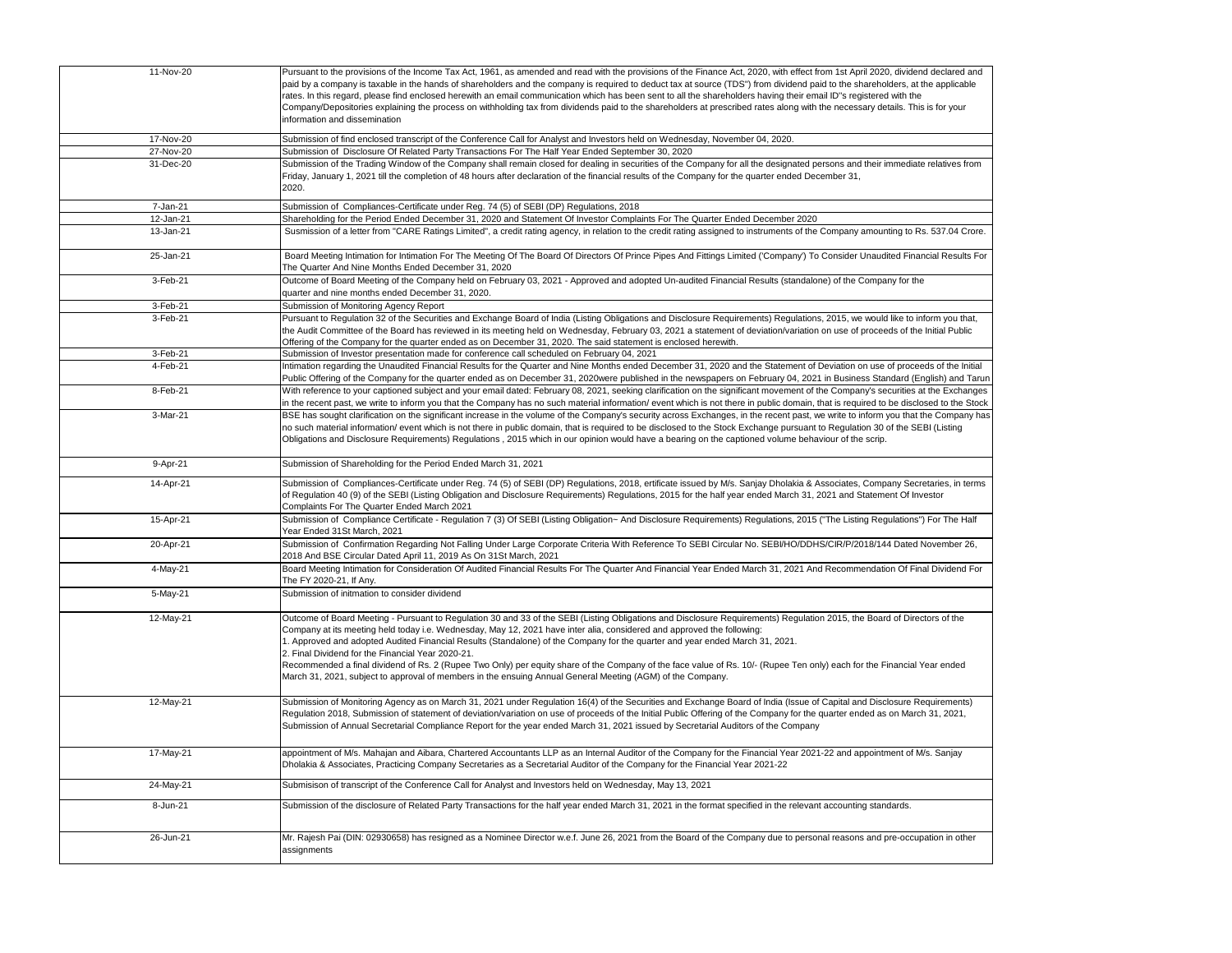| 11-Nov-20 | Pursuant to the provisions of the Income Tax Act, 1961, as amended and read with the provisions of the Finance Act, 2020, with effect from 1st April 2020, dividend declared and<br>paid by a company is taxable in the hands of shareholders and the company is required to deduct tax at source (TDS") from dividend paid to the shareholders, at the applicable<br>rates. In this regard, please find enclosed herewith an email communication which has been sent to all the shareholders having their email ID"s registered with the<br>Company/Depositories explaining the process on withholding tax from dividends paid to the shareholders at prescribed rates along with the necessary details. This is for your<br>information and dissemination                      |
|-----------|----------------------------------------------------------------------------------------------------------------------------------------------------------------------------------------------------------------------------------------------------------------------------------------------------------------------------------------------------------------------------------------------------------------------------------------------------------------------------------------------------------------------------------------------------------------------------------------------------------------------------------------------------------------------------------------------------------------------------------------------------------------------------------|
| 17-Nov-20 | Submission of find enclosed transcript of the Conference Call for Analyst and Investors held on Wednesday, November 04, 2020.                                                                                                                                                                                                                                                                                                                                                                                                                                                                                                                                                                                                                                                    |
| 27-Nov-20 | Submission of Disclosure Of Related Party Transactions For The Half Year Ended September 30, 2020                                                                                                                                                                                                                                                                                                                                                                                                                                                                                                                                                                                                                                                                                |
| 31-Dec-20 | Submission of the Trading Window of the Company shall remain closed for dealing in securities of the Company for all the designated persons and their immediate relatives from<br>Friday, January 1, 2021 till the completion of 48 hours after declaration of the financial results of the Company for the quarter ended December 31,<br>2020.                                                                                                                                                                                                                                                                                                                                                                                                                                  |
| 7-Jan-21  | Submission of Compliances-Certificate under Reg. 74 (5) of SEBI (DP) Regulations, 2018                                                                                                                                                                                                                                                                                                                                                                                                                                                                                                                                                                                                                                                                                           |
| 12-Jan-21 | Shareholding for the Period Ended December 31, 2020 and Statement Of Investor Complaints For The Quarter Ended December 2020                                                                                                                                                                                                                                                                                                                                                                                                                                                                                                                                                                                                                                                     |
| 13-Jan-21 | Susmission of a letter from "CARE Ratings Limited", a credit rating agency, in relation to the credit rating assigned to instruments of the Company amounting to Rs. 537.04 Crore.                                                                                                                                                                                                                                                                                                                                                                                                                                                                                                                                                                                               |
| 25-Jan-21 | Board Meeting Intimation for Intimation For The Meeting Of The Board Of Directors Of Prince Pipes And Fittings Limited ('Company') To Consider Unaudited Financial Results For<br>The Quarter And Nine Months Ended December 31, 2020                                                                                                                                                                                                                                                                                                                                                                                                                                                                                                                                            |
| 3-Feb-21  | Outcome of Board Meeting of the Company held on February 03, 2021 - Approved and adopted Un-audited Financial Results (standalone) of the Company for the<br>quarter and nine months ended December 31, 2020.                                                                                                                                                                                                                                                                                                                                                                                                                                                                                                                                                                    |
| 3-Feb-21  | Submission of Monitoring Agency Report                                                                                                                                                                                                                                                                                                                                                                                                                                                                                                                                                                                                                                                                                                                                           |
| 3-Feb-21  | Pursuant to Regulation 32 of the Securities and Exchange Board of India (Listing Obligations and Disclosure Requirements) Regulations, 2015, we would like to inform you that,<br>the Audit Committee of the Board has reviewed in its meeting held on Wednesday, February 03, 2021 a statement of deviation/variation on use of proceeds of the Initial Public<br>Offering of the Company for the quarter ended as on December 31, 2020. The said statement is enclosed herewith.                                                                                                                                                                                                                                                                                               |
| 3-Feb-21  | Submission of Investor presentation made for conference call scheduled on February 04, 2021                                                                                                                                                                                                                                                                                                                                                                                                                                                                                                                                                                                                                                                                                      |
| 4-Feb-21  | Intimation regarding the Unaudited Financial Results for the Quarter and Nine Months ended December 31, 2020 and the Statement of Deviation on use of proceeds of the Initial<br>Public Offering of the Company for the quarter ended as on December 31, 2020were published in the newspapers on February 04, 2021 in Business Standard (English) and Tarun                                                                                                                                                                                                                                                                                                                                                                                                                      |
| 8-Feb-21  | With reference to your captioned subject and your email dated: February 08, 2021, seeking clarification on the significant movement of the Company's securities at the Exchanges<br>in the recent past, we write to inform you that the Company has no such material information/ event which is not there in public domain, that is required to be disclosed to the Stock                                                                                                                                                                                                                                                                                                                                                                                                       |
| 3-Mar-21  | BSE has sought clarification on the significant increase in the volume of the Company's security across Exchanges, in the recent past, we write to inform you that the Company has<br>no such material information/ event which is not there in public domain, that is required to be disclosed to the Stock Exchange pursuant to Regulation 30 of the SEBI (Listing<br>Obligations and Disclosure Requirements) Regulations, 2015 which in our opinion would have a bearing on the captioned volume behaviour of the scrip.                                                                                                                                                                                                                                                     |
| 9-Apr-21  | Submission of Shareholding for the Period Ended March 31, 2021                                                                                                                                                                                                                                                                                                                                                                                                                                                                                                                                                                                                                                                                                                                   |
| 14-Apr-21 | Submission of Compliances-Certificate under Reg. 74 (5) of SEBI (DP) Regulations, 2018, ertificate issued by M/s. Sanjay Dholakia & Associates, Company Secretaries, in terms<br>of Regulation 40 (9) of the SEBI (Listing Obligation and Disclosure Requirements) Regulations, 2015 for the half year ended March 31, 2021 and Statement Of Investor<br>Complaints For The Quarter Ended March 2021                                                                                                                                                                                                                                                                                                                                                                             |
| 15-Apr-21 | Submission of Compliance Certificate - Regulation 7 (3) Of SEBI (Listing Obligation~ And Disclosure Requirements) Regulations, 2015 ("The Listing Regulations") For The Half<br>Year Ended 31St March, 2021                                                                                                                                                                                                                                                                                                                                                                                                                                                                                                                                                                      |
| 20-Apr-21 | Submission of Confirmation Regarding Not Falling Under Large Corporate Criteria With Reference To SEBI Circular No. SEBI/HO/DDHS/CIR/P/2018/144 Dated November 26,<br>2018 And BSE Circular Dated April 11, 2019 As On 31St March, 2021                                                                                                                                                                                                                                                                                                                                                                                                                                                                                                                                          |
| 4-May-21  | Board Meeting Intimation for Consideration Of Audited Financial Results For The Quarter And Financial Year Ended March 31, 2021 And Recommendation Of Final Dividend For<br>The FY 2020-21, If Any.                                                                                                                                                                                                                                                                                                                                                                                                                                                                                                                                                                              |
| 5-May-21  | Submission of initmation to consider dividend                                                                                                                                                                                                                                                                                                                                                                                                                                                                                                                                                                                                                                                                                                                                    |
| 12-May-21 | Outcome of Board Meeting - Pursuant to Regulation 30 and 33 of the SEBI (Listing Obligations and Disclosure Requirements) Regulation 2015, the Board of Directors of the<br>Company at its meeting held today i.e. Wednesday, May 12, 2021 have inter alia, considered and approved the following:<br>1. Approved and adopted Audited Financial Results (Standalone) of the Company for the quarter and year ended March 31, 2021.<br>2. Final Dividend for the Financial Year 2020-21.<br>Recommended a final dividend of Rs. 2 (Rupee Two Only) per equity share of the Company of the face value of Rs. 10/- (Rupee Ten only) each for the Financial Year ended<br>March 31, 2021, subject to approval of members in the ensuing Annual General Meeting (AGM) of the Company. |
| 12-May-21 | Submission of Monitoring Agency as on March 31, 2021 under Regulation 16(4) of the Securities and Exchange Board of India (Issue of Capital and Disclosure Requirements)<br>Regulation 2018, Submission of statement of deviation/variation on use of proceeds of the Initial Public Offering of the Company for the quarter ended as on March 31, 2021,<br>Submission of Annual Secretarial Compliance Report for the year ended March 31, 2021 issued by Secretarial Auditors of the Company                                                                                                                                                                                                                                                                                   |
| 17-May-21 | appointment of M/s. Mahajan and Aibara, Chartered Accountants LLP as an Internal Auditor of the Company for the Financial Year 2021-22 and appointment of M/s. Sanjay<br>Dholakia & Associates, Practicing Company Secretaries as a Secretarial Auditor of the Company for the Financial Year 2021-22                                                                                                                                                                                                                                                                                                                                                                                                                                                                            |
| 24-May-21 | Submisison of transcript of the Conference Call for Analyst and Investors held on Wednesday, May 13, 2021                                                                                                                                                                                                                                                                                                                                                                                                                                                                                                                                                                                                                                                                        |
| 8-Jun-21  | Submission of the disclosure of Related Party Transactions for the half year ended March 31, 2021 in the format specified in the relevant accounting standards.                                                                                                                                                                                                                                                                                                                                                                                                                                                                                                                                                                                                                  |
| 26-Jun-21 | Mr. Rajesh Pai (DIN: 02930658) has resigned as a Nominee Director w.e.f. June 26, 2021 from the Board of the Company due to personal reasons and pre-occupation in other<br>assignments                                                                                                                                                                                                                                                                                                                                                                                                                                                                                                                                                                                          |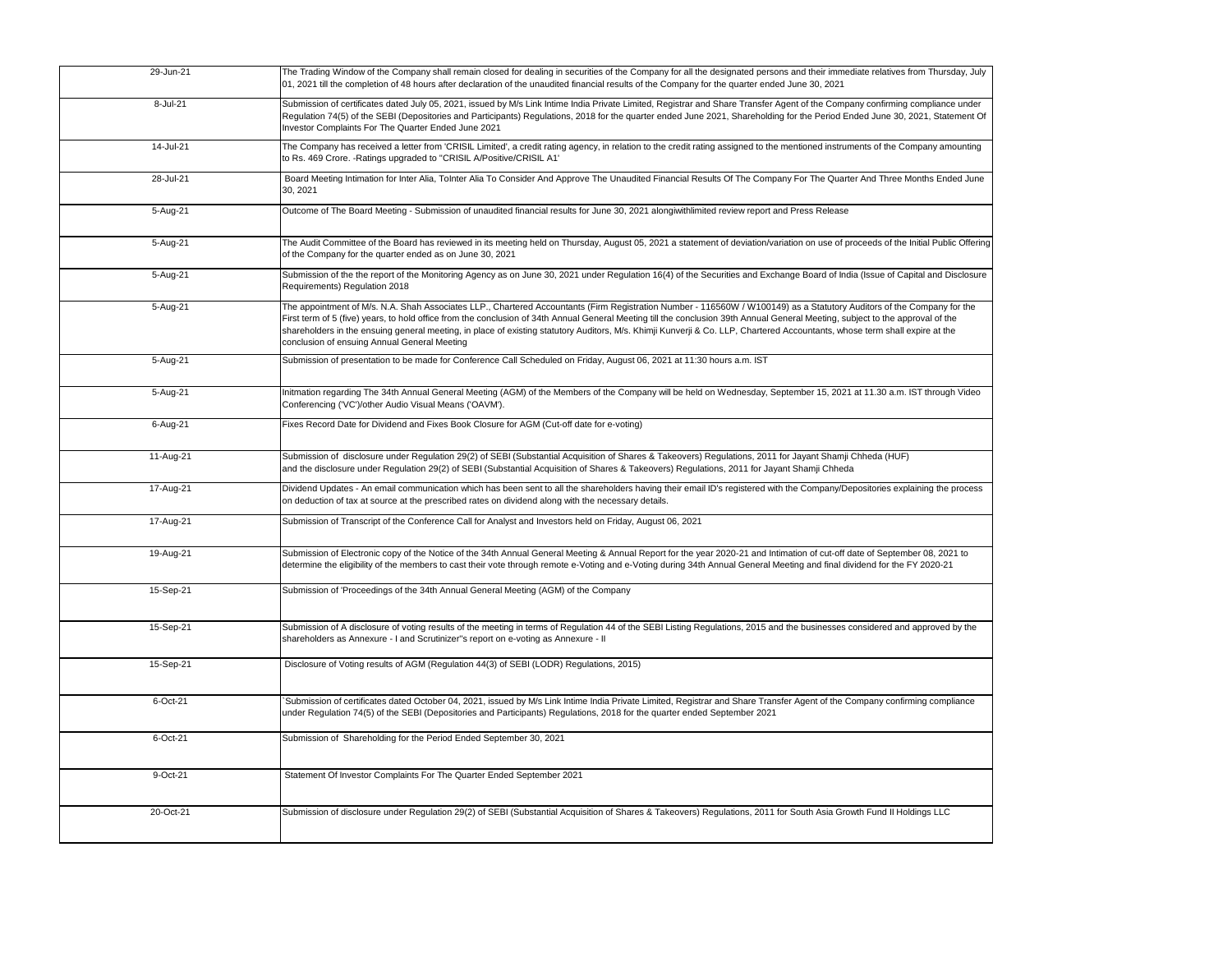| 29-Jun-21 | The Trading Window of the Company shall remain closed for dealing in securities of the Company for all the designated persons and their immediate relatives from Thursday, July<br>01, 2021 till the completion of 48 hours after declaration of the unaudited financial results of the Company for the quarter ended June 30, 2021                                                                                                                                                                                                                                                      |
|-----------|------------------------------------------------------------------------------------------------------------------------------------------------------------------------------------------------------------------------------------------------------------------------------------------------------------------------------------------------------------------------------------------------------------------------------------------------------------------------------------------------------------------------------------------------------------------------------------------|
| 8-Jul-21  | Submission of certificates dated July 05, 2021, issued by M/s Link Intime India Private Limited, Registrar and Share Transfer Agent of the Company confirming compliance under<br>Regulation 74(5) of the SEBI (Depositories and Participants) Regulations, 2018 for the quarter ended June 2021, Shareholding for the Period Ended June 30, 2021, Statement Of<br>Investor Complaints For The Quarter Ended June 2021                                                                                                                                                                   |
| 14-Jul-21 | The Company has received a letter from 'CRISIL Limited', a credit rating agency, in relation to the credit rating assigned to the mentioned instruments of the Company amounting<br>to Rs. 469 Crore. - Ratings upgraded to "CRISIL A/Positive/CRISIL A1"                                                                                                                                                                                                                                                                                                                                |
| 28-Jul-21 | Board Meeting Intimation for Inter Alia, ToInter Alia To Consider And Approve The Unaudited Financial Results Of The Company For The Quarter And Three Months Ended June<br>30, 2021                                                                                                                                                                                                                                                                                                                                                                                                     |
| 5-Aug-21  | Outcome of The Board Meeting - Submission of unaudited financial results for June 30, 2021 alongiwithlimited review report and Press Release                                                                                                                                                                                                                                                                                                                                                                                                                                             |
| 5-Aug-21  | The Audit Committee of the Board has reviewed in its meeting held on Thursday, August 05, 2021 a statement of deviation/variation on use of proceeds of the Initial Public Offering<br>of the Company for the quarter ended as on June 30, 2021                                                                                                                                                                                                                                                                                                                                          |
| 5-Aug-21  | Submission of the the report of the Monitoring Agency as on June 30, 2021 under Regulation 16(4) of the Securities and Exchange Board of India (Issue of Capital and Disclosure<br>Requirements) Regulation 2018                                                                                                                                                                                                                                                                                                                                                                         |
| 5-Aug-21  | The appointment of M/s. N.A. Shah Associates LLP., Chartered Accountants (Firm Registration Number - 116560W / W100149) as a Statutory Auditors of the Company for the<br>First term of 5 (five) years, to hold office from the conclusion of 34th Annual General Meeting till the conclusion 39th Annual General Meeting, subject to the approval of the<br>shareholders in the ensuing general meeting, in place of existing statutory Auditors, M/s. Khimji Kunverji & Co. LLP, Chartered Accountants, whose term shall expire at the<br>conclusion of ensuing Annual General Meeting |
| 5-Aug-21  | Submission of presentation to be made for Conference Call Scheduled on Friday, August 06, 2021 at 11:30 hours a.m. IST                                                                                                                                                                                                                                                                                                                                                                                                                                                                   |
| 5-Aug-21  | Initmation regarding The 34th Annual General Meeting (AGM) of the Members of the Company will be held on Wednesday, September 15, 2021 at 11.30 a.m. IST through Video<br>Conferencing ('VC')/other Audio Visual Means ('OAVM').                                                                                                                                                                                                                                                                                                                                                         |
| 6-Aug-21  | Fixes Record Date for Dividend and Fixes Book Closure for AGM (Cut-off date for e-voting)                                                                                                                                                                                                                                                                                                                                                                                                                                                                                                |
| 11-Aug-21 | Submission of disclosure under Regulation 29(2) of SEBI (Substantial Acquisition of Shares & Takeovers) Regulations, 2011 for Jayant Shamji Chheda (HUF)<br>and the disclosure under Regulation 29(2) of SEBI (Substantial Acquisition of Shares & Takeovers) Regulations, 2011 for Jayant Shamji Chheda                                                                                                                                                                                                                                                                                 |
| 17-Aug-21 | Dividend Updates - An email communication which has been sent to all the shareholders having their email ID's registered with the Company/Depositories explaining the process<br>on deduction of tax at source at the prescribed rates on dividend along with the necessary details.                                                                                                                                                                                                                                                                                                     |
| 17-Aug-21 | Submission of Transcript of the Conference Call for Analyst and Investors held on Friday, August 06, 2021                                                                                                                                                                                                                                                                                                                                                                                                                                                                                |
| 19-Aug-21 | Submission of Electronic copy of the Notice of the 34th Annual General Meeting & Annual Report for the year 2020-21 and Intimation of cut-off date of September 08, 2021 to<br>determine the eligibility of the members to cast their vote through remote e-Voting and e-Voting during 34th Annual General Meeting and final dividend for the FY 2020-21                                                                                                                                                                                                                                 |
| 15-Sep-21 | Submission of 'Proceedings of the 34th Annual General Meeting (AGM) of the Company                                                                                                                                                                                                                                                                                                                                                                                                                                                                                                       |
| 15-Sep-21 | Submission of A disclosure of voting results of the meeting in terms of Regulation 44 of the SEBI Listing Regulations, 2015 and the businesses considered and approved by the<br>shareholders as Annexure - I and Scrutinizer"s report on e-voting as Annexure - II                                                                                                                                                                                                                                                                                                                      |
| 15-Sep-21 | Disclosure of Voting results of AGM (Regulation 44(3) of SEBI (LODR) Regulations, 2015)                                                                                                                                                                                                                                                                                                                                                                                                                                                                                                  |
| 6-Oct-21  | Submission of certificates dated October 04, 2021, issued by M/s Link Intime India Private Limited, Registrar and Share Transfer Agent of the Company confirming compliance<br>under Regulation 74(5) of the SEBI (Depositories and Participants) Regulations, 2018 for the quarter ended September 2021                                                                                                                                                                                                                                                                                 |
| 6-Oct-21  | Submission of Shareholding for the Period Ended September 30, 2021                                                                                                                                                                                                                                                                                                                                                                                                                                                                                                                       |
| 9-Oct-21  | Statement Of Investor Complaints For The Quarter Ended September 2021                                                                                                                                                                                                                                                                                                                                                                                                                                                                                                                    |
| 20-Oct-21 | Submission of disclosure under Regulation 29(2) of SEBI (Substantial Acquisition of Shares & Takeovers) Regulations, 2011 for South Asia Growth Fund II Holdings LLC                                                                                                                                                                                                                                                                                                                                                                                                                     |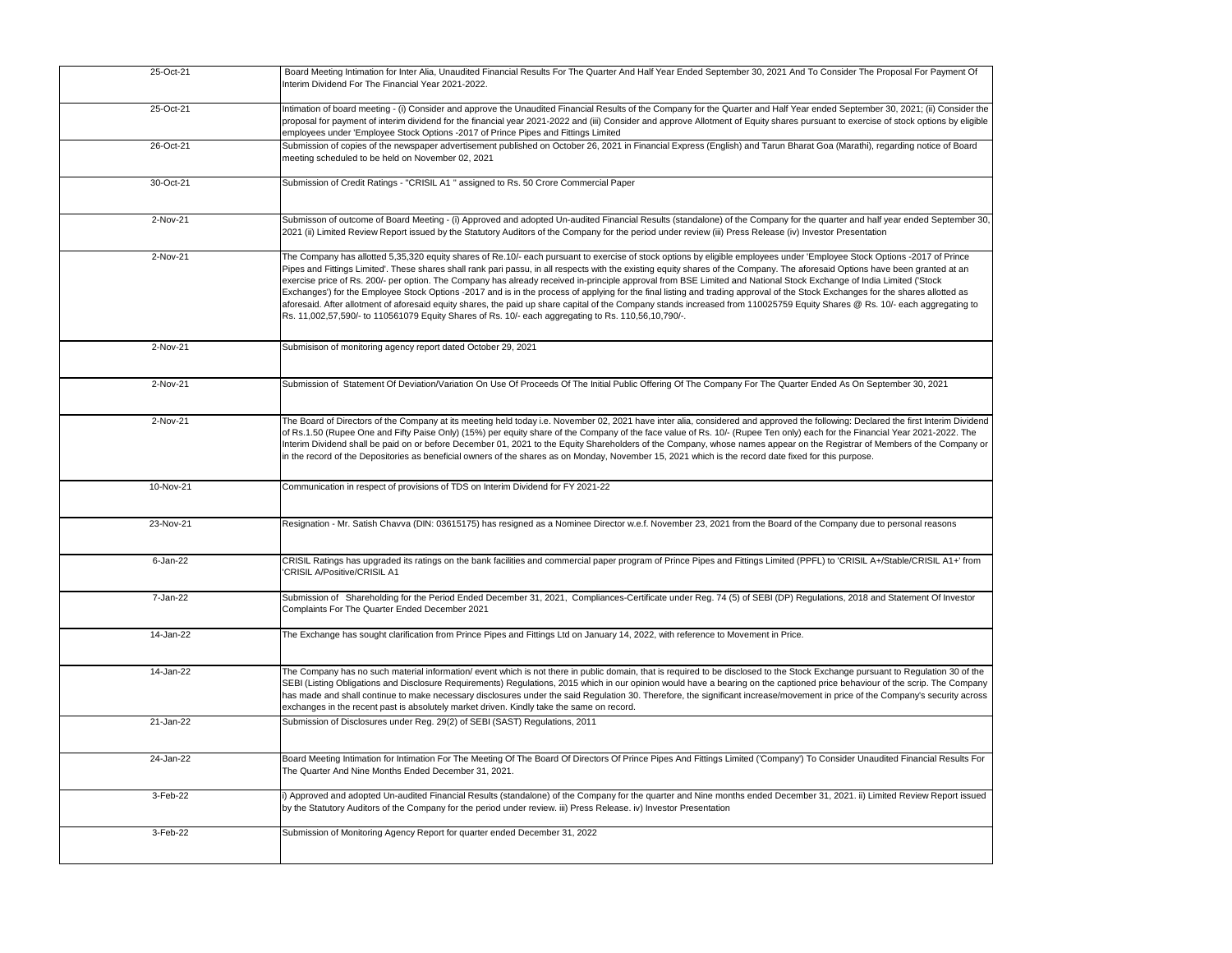| 25-Oct-21 | Board Meeting Intimation for Inter Alia, Unaudited Financial Results For The Quarter And Half Year Ended September 30, 2021 And To Consider The Proposal For Payment Of<br>Interim Dividend For The Financial Year 2021-2022.                                                                                                                                                                                                                                                                                                                                                                                                                                                                                                                                                                                                                                                                                                                                                                                 |
|-----------|---------------------------------------------------------------------------------------------------------------------------------------------------------------------------------------------------------------------------------------------------------------------------------------------------------------------------------------------------------------------------------------------------------------------------------------------------------------------------------------------------------------------------------------------------------------------------------------------------------------------------------------------------------------------------------------------------------------------------------------------------------------------------------------------------------------------------------------------------------------------------------------------------------------------------------------------------------------------------------------------------------------|
| 25-Oct-21 | Intimation of board meeting - (i) Consider and approve the Unaudited Financial Results of the Company for the Quarter and Half Year ended September 30, 2021; (ii) Consider the<br>proposal for payment of interim dividend for the financial year 2021-2022 and (iii) Consider and approve Allotment of Equity shares pursuant to exercise of stock options by eligible<br>employees under 'Employee Stock Options -2017 of Prince Pipes and Fittings Limited                                                                                                                                                                                                                                                                                                                                                                                                                                                                                                                                                |
| 26-Oct-21 | Submission of copies of the newspaper advertisement published on October 26, 2021 in Financial Express (English) and Tarun Bharat Goa (Marathi), regarding notice of Board<br>meeting scheduled to be held on November 02, 2021                                                                                                                                                                                                                                                                                                                                                                                                                                                                                                                                                                                                                                                                                                                                                                               |
| 30-Oct-21 | Submission of Credit Ratings - "CRISIL A1" assigned to Rs. 50 Crore Commercial Paper                                                                                                                                                                                                                                                                                                                                                                                                                                                                                                                                                                                                                                                                                                                                                                                                                                                                                                                          |
| 2-Nov-21  | Submisson of outcome of Board Meeting - (i) Approved and adopted Un-audited Financial Results (standalone) of the Company for the quarter and half year ended September 30,<br>2021 (ii) Limited Review Report issued by the Statutory Auditors of the Company for the period under review (iii) Press Release (iv) Investor Presentation                                                                                                                                                                                                                                                                                                                                                                                                                                                                                                                                                                                                                                                                     |
| 2-Nov-21  | The Company has allotted 5,35,320 equity shares of Re.10/- each pursuant to exercise of stock options by eligible employees under 'Employee Stock Options -2017 of Prince<br>Pipes and Fittings Limited'. These shares shall rank pari passu, in all respects with the existing equity shares of the Company. The aforesaid Options have been granted at an<br>exercise price of Rs. 200/- per option. The Company has already received in-principle approval from BSE Limited and National Stock Exchange of India Limited ('Stock<br>Exchanges') for the Employee Stock Options -2017 and is in the process of applying for the final listing and trading approval of the Stock Exchanges for the shares allotted as<br>aforesaid. After allotment of aforesaid equity shares, the paid up share capital of the Company stands increased from 110025759 Equity Shares @ Rs. 10/- each aggregating to<br>Rs. 11,002,57,590/- to 110561079 Equity Shares of Rs. 10/- each aggregating to Rs. 110,56,10,790/-. |
| 2-Nov-21  | Submisison of monitoring agency report dated October 29, 2021                                                                                                                                                                                                                                                                                                                                                                                                                                                                                                                                                                                                                                                                                                                                                                                                                                                                                                                                                 |
| 2-Nov-21  | Submission of Statement Of Deviation/Variation On Use Of Proceeds Of The Initial Public Offering Of The Company For The Quarter Ended As On September 30, 2021                                                                                                                                                                                                                                                                                                                                                                                                                                                                                                                                                                                                                                                                                                                                                                                                                                                |
| 2-Nov-21  | The Board of Directors of the Company at its meeting held today i.e. November 02, 2021 have inter alia, considered and approved the following: Declared the first Interim Dividend<br>of Rs.1.50 (Rupee One and Fifty Paise Only) (15%) per equity share of the Company of the face value of Rs. 10/- (Rupee Ten only) each for the Financial Year 2021-2022. The<br>Interim Dividend shall be paid on or before December 01, 2021 to the Equity Shareholders of the Company, whose names appear on the Registrar of Members of the Company or<br>in the record of the Depositories as beneficial owners of the shares as on Monday, November 15, 2021 which is the record date fixed for this purpose.                                                                                                                                                                                                                                                                                                       |
| 10-Nov-21 | Communication in respect of provisions of TDS on Interim Dividend for FY 2021-22                                                                                                                                                                                                                                                                                                                                                                                                                                                                                                                                                                                                                                                                                                                                                                                                                                                                                                                              |
| 23-Nov-21 | Resignation - Mr. Satish Chavva (DIN: 03615175) has resigned as a Nominee Director w.e.f. November 23, 2021 from the Board of the Company due to personal reasons                                                                                                                                                                                                                                                                                                                                                                                                                                                                                                                                                                                                                                                                                                                                                                                                                                             |
| 6-Jan-22  | CRISIL Ratings has upgraded its ratings on the bank facilities and commercial paper program of Prince Pipes and Fittings Limited (PPFL) to 'CRISIL A+/Stable/CRISIL A1+' from<br>'CRISIL A/Positive/CRISIL A1                                                                                                                                                                                                                                                                                                                                                                                                                                                                                                                                                                                                                                                                                                                                                                                                 |
| 7-Jan-22  | Submission of Shareholding for the Period Ended December 31, 2021, Compliances-Certificate under Reg. 74 (5) of SEBI (DP) Regulations, 2018 and Statement Of Investor<br>Complaints For The Quarter Ended December 2021                                                                                                                                                                                                                                                                                                                                                                                                                                                                                                                                                                                                                                                                                                                                                                                       |
| 14-Jan-22 | The Exchange has sought clarification from Prince Pipes and Fittings Ltd on January 14, 2022, with reference to Movement in Price.                                                                                                                                                                                                                                                                                                                                                                                                                                                                                                                                                                                                                                                                                                                                                                                                                                                                            |
| 14-Jan-22 | The Company has no such material information/ event which is not there in public domain, that is required to be disclosed to the Stock Exchange pursuant to Regulation 30 of the<br>SEBI (Listing Obligations and Disclosure Requirements) Regulations, 2015 which in our opinion would have a bearing on the captioned price behaviour of the scrip. The Company<br>has made and shall continue to make necessary disclosures under the said Regulation 30. Therefore, the significant increase/movement in price of the Company's security across<br>exchanges in the recent past is absolutely market driven. Kindly take the same on record.                                                                                                                                                                                                                                                                                                                                                              |
| 21-Jan-22 | Submission of Disclosures under Reg. 29(2) of SEBI (SAST) Regulations, 2011                                                                                                                                                                                                                                                                                                                                                                                                                                                                                                                                                                                                                                                                                                                                                                                                                                                                                                                                   |
| 24-Jan-22 | Board Meeting Intimation for Intimation For The Meeting Of The Board Of Directors Of Prince Pipes And Fittings Limited ('Company') To Consider Unaudited Financial Results For<br>The Quarter And Nine Months Ended December 31, 2021.                                                                                                                                                                                                                                                                                                                                                                                                                                                                                                                                                                                                                                                                                                                                                                        |
| 3-Feb-22  | i) Approved and adopted Un-audited Financial Results (standalone) of the Company for the quarter and Nine months ended December 31, 2021. ii) Limited Review Report issued<br>by the Statutory Auditors of the Company for the period under review. iii) Press Release. iv) Investor Presentation                                                                                                                                                                                                                                                                                                                                                                                                                                                                                                                                                                                                                                                                                                             |
| 3-Feb-22  | Submission of Monitoring Agency Report for quarter ended December 31, 2022                                                                                                                                                                                                                                                                                                                                                                                                                                                                                                                                                                                                                                                                                                                                                                                                                                                                                                                                    |